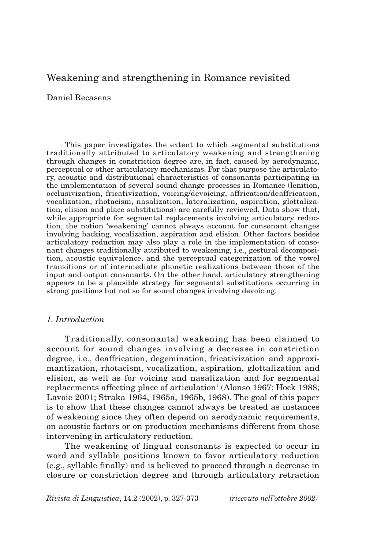# Weakening and strengthening in Romance revisited

Daniel Recasens

This paper investigates the extent to which segmental substitutions traditionally attributed to articulatory weakening and strengthening through changes in constriction degree are, in fact, caused by aerodynamic, perceptual or other articulatory mechanisms. For that purpose the articulatory, acoustic and distributional characteristics of consonants participating in the implementation of several sound change processes in Romance (lenition, occlusivization, fricativization, voicing/devoicing, affrication/deaffrication, vocalization, rhotacism, nasalization, lateralization, aspiration, glottalization, elision and place substitutions) are carefully reviewed. Data show that, while appropriate for segmental replacements involving articulatory reduction, the notion 'weakening' cannot always account for consonant changes involving backing, vocalization, aspiration and elision. Other factors besides articulatory reduction may also play a role in the implementation of consonant changes traditionally attributed to weakening, i.e., gestural decomposition, acoustic equivalence, and the perceptual categorization of the vowel transitions or of intermediate phonetic realizations between those of the input and output consonants. On the other hand, articulatory strengthening appears to be a plausible strategy for segmental substitutions occurring in strong positions but not so for sound changes involving devoicing.

## *1. Introduction*

Traditionally, consonantal weakening has been claimed to account for sound changes involving a decrease in constriction degree, i.e., deaffrication, degemination, fricativization and approximantization, rhotacism, vocalization, aspiration, glottalization and elision, as well as for voicing and nasalization and for segmental replacements affecting place of articulation<sup>1</sup> (Alonso 1967; Hock 1988; Lavoie 2001; Straka 1964, 1965a, 1965b, 1968). The goal of this paper is to show that these changes cannot always be treated as instances of weakening since they often depend on aerodynamic requirements, on acoustic factors or on production mechanisms different from those intervening in articulatory reduction.

The weakening of lingual consonants is expected to occur in word and syllable positions known to favor articulatory reduction (e.g., syllable finally) and is believed to proceed through a decrease in closure or constriction degree and through articulatory retraction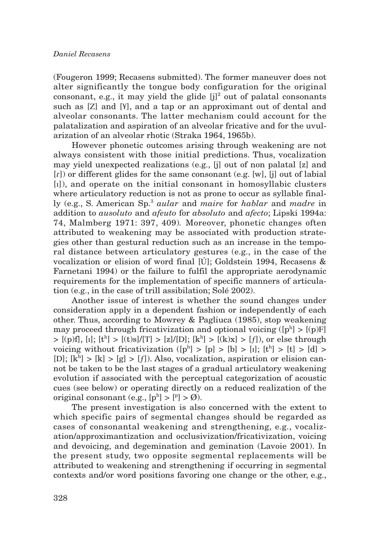(Fougeron 1999; Recasens submitted). The former maneuver does not alter significantly the tongue body configuration for the original consonant, e.g., it may yield the glide  $[i]^2$  out of palatal consonants such as [Z] and [¥], and a tap or an approximant out of dental and alveolar consonants. The latter mechanism could account for the palatalization and aspiration of an alveolar fricative and for the uvularization of an alveolar rhotic (Straka 1964, 1965b).

However phonetic outcomes arising through weakening are not always consistent with those initial predictions. Thus, vocalization may yield unexpected realizations (e.g., [j] out of non palatal [z] and  $\lceil$ [r]) or different glides for the same consonant (e.g. [w], [j] out of labial [ı]), and operate on the initial consonant in homosyllabic clusters where articulatory reduction is not as prone to occur as syllable finally (e.g., S. American Sp.3 *aular* and *maire* for *hablar* and *madre* in addition to *ausoluto* and *afeuto* for *absoluto* and *afecto*; Lipski 1994a: 74, Malmberg 1971: 397, 409)*.* Moreover, phonetic changes often attributed to weakening may be associated with production strategies other than gestural reduction such as an increase in the temporal distance between articulatory gestures (e.g., in the case of the vocalization or elision of word final [Ú]; Goldstein 1994, Recasens & Farnetani 1994) or the failure to fulfil the appropriate aerodynamic requirements for the implementation of specific manners of articulation (e.g., in the case of trill assibilation; Solé 2002).

Another issue of interest is whether the sound changes under consideration apply in a dependent fashion or independently of each other. Thus, according to Mowrey & Pagliuca (1985), stop weakening may proceed through fricativization and optional voicing ([pʰ] > [(p)F]  $>$  [(p)f], [i]; [t<sup>h</sup>]  $>$  [(t)s]/[T]  $>$  [z]/[D]; [k<sup>h</sup>]  $>$  [(k)x]  $>$  [f]), or else through voicing without fricativization ([ph] > [p] > [b] > [ı]; [th] > [t] > [d] > [D];  $[k^h] > [k] > [g] > [f]$ ). Also, vocalization, aspiration or elision cannot be taken to be the last stages of a gradual articulatory weakening evolution if associated with the perceptual categorization of acoustic cues (see below) or operating directly on a reduced realization of the original consonant (e.g.,  $[p^h] > [P] > \emptyset$ ).

The present investigation is also concerned with the extent to which specific pairs of segmental changes should be regarded as cases of consonantal weakening and strengthening, e.g., vocalization/approximantization and occlusivization/fricativization, voicing and devoicing, and degemination and gemination (Lavoie 2001). In the present study, two opposite segmental replacements will be attributed to weakening and strengthening if occurring in segmental contexts and/or word positions favoring one change or the other, e.g.,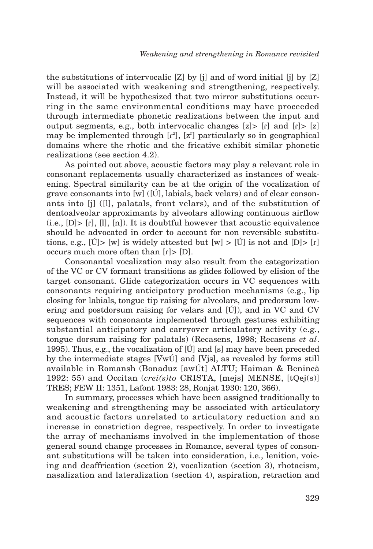the substitutions of intervocalic [Z] by [j] and of word initial [j] by [Z] will be associated with weakening and strengthening, respectively. Instead, it will be hypothesized that two mirror substitutions occurring in the same environmental conditions may have proceeded through intermediate phonetic realizations between the input and output segments, e.g., both intervocalic changes  $[z] > [r]$  and  $[r] > [z]$ may be implemented through  $[r^z]$ ,  $[z^r]$  particularly so in geographical domains where the rhotic and the fricative exhibit similar phonetic realizations (see section 4.2).

As pointed out above, acoustic factors may play a relevant role in consonant replacements usually characterized as instances of weakening. Spectral similarity can be at the origin of the vocalization of grave consonants into [w] ([Ú], labials, back velars) and of clear consonants into [j] ([l], palatals, front velars), and of the substitution of dentoalveolar approximants by alveolars allowing continuous airflow  $(i.e., [D] > [r], [l], [n]),$  It is doubtful however that acoustic equivalence should be advocated in order to account for non reversible substitutions, e.g.,  $|U| > |w|$  is widely attested but  $|w| > |U|$  is not and  $|D| > |f|$ occurs much more often than  $[r] > [D]$ .

Consonantal vocalization may also result from the categorization of the VC or CV formant transitions as glides followed by elision of the target consonant. Glide categorization occurs in VC sequences with consonants requiring anticipatory production mechanisms (e.g., lip closing for labials, tongue tip raising for alveolars, and predorsum lowering and postdorsum raising for velars and [Ú]), and in VC and CV sequences with consonants implemented through gestures exhibiting substantial anticipatory and carryover articulatory activity (e.g., tongue dorsum raising for palatals) (Recasens, 1998; Recasens *et al*. 1995). Thus, e.g., the vocalization of [Ú] and [s] may have been preceded by the intermediate stages [VwÚ] and [Vjs], as revealed by forms still available in Romansh (Bonaduz [awÚt] ALTU; Haiman & Benincà 1992: 55) and Occitan (*crei(s)to* CRISTA, [mejs] MENSE, [tQej(s)] TRES; FEW II: 1351, Lafont 1983: 28, Ronjat 1930: 120, 366).

In summary, processes which have been assigned traditionally to weakening and strengthening may be associated with articulatory and acoustic factors unrelated to articulatory reduction and an increase in constriction degree, respectively. In order to investigate the array of mechanisms involved in the implementation of those general sound change processes in Romance, several types of consonant substitutions will be taken into consideration, i.e., lenition, voicing and deaffrication (section 2), vocalization (section 3), rhotacism, nasalization and lateralization (section 4), aspiration, retraction and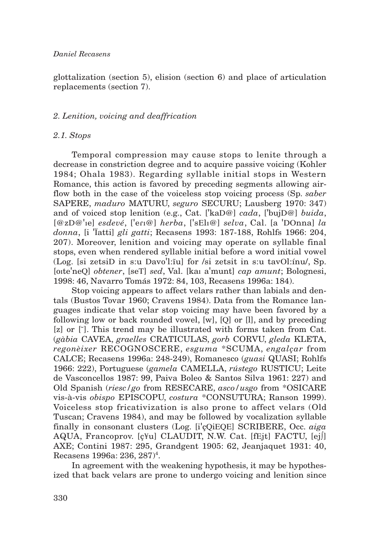## *Daniel Recasens*

glottalization (section 5), elision (section 6) and place of articulation replacements (section 7).

## *2. Lenition, voicing and deaffrication*

## *2.1. Stops*

Temporal compression may cause stops to lenite through a decrease in constriction degree and to acquire passive voicing (Kohler 1984; Ohala 1983). Regarding syllable initial stops in Western Romance, this action is favored by preceding segments allowing airflow both in the case of the voiceless stop voicing process (Sp. *saber* SAPERE, *maduro* MATURU, *seguro* SECURU; Lausberg 1970: 347) and of voiced stop lenition (e.g., Cat. ['kaD@] *cada*, ['bujD@] *buida*, [@zD@'ıe] *esdevé*, ['eRı@] *herba*, ['sElı@] *selva*, Cal. [a 'DOnna] *la donna*, [i 'Ïatti] *gli gatti*; Recasens 1993: 187-188, Rohlfs 1966: 204, 207). Moreover, lenition and voicing may operate on syllable final stops, even when rendered syllable initial before a word initial vowel (Log. [si zetsiD in s:u Davo'l: $\tilde{u}$ l for /si zetsit in s:u tavOl: $\tilde{u}$ u/, Sp. [oıte'neQ] *obtener*, [seT] *sed*, Val. [kaı a'munt] *cap amunt*; Bolognesi, 1998: 46, Navarro Tomás 1972: 84, 103, Recasens 1996a: 184).

Stop voicing appears to affect velars rather than labials and dentals (Bustos Tovar 1960; Cravens 1984). Data from the Romance languages indicate that velar stop voicing may have been favored by a following low or back rounded vowel, [w], [Q] or [l], and by preceding [z] or [ $\tilde{ }$ ]. This trend may be illustrated with forms taken from Cat. (*gàbia* CAVEA, *graelles* CRATICULAS, *gorb* CORVU, *gleda* KLETA, *regonèixer* RECOGNOSCERE, *esguma* \*SCUMA, *engalçar* from CALCE; Recasens 1996a: 248-249), Romanesco (*guasi* QUASI; Rohlfs 1966: 222), Portuguese (*gamela* CAMELLA, *rústego* RUSTICU; Leite de Vasconcellos 1987: 99, Paiva Boleo & Santos Silva 1961: 227) and Old Spanish (*riesc/go* from RESECARE, *asco/usgo* from \*OSICARE vis-à-vis *obispo* EPISCOPU, *costura* \*CONSUTURA; Ranson 1999). Voiceless stop fricativization is also prone to affect velars (Old Tuscan; Cravens 1984), and may be followed by vocalization syllable finally in consonant clusters (Log. [i'çQiEQE] SCRIBERE, Occ. *aiga* AQUA, Francoprov. [ç¥u] CLAUDIT, N.W. Cat. [fEjt] FACTU, [ej∫] AXE; Contini 1987: 295, Grandgent 1905: 62, Jeanjaquet 1931: 40, Recasens 1996a: 236, 287)<sup>4</sup>.

In agreement with the weakening hypothesis, it may be hypothesized that back velars are prone to undergo voicing and lenition since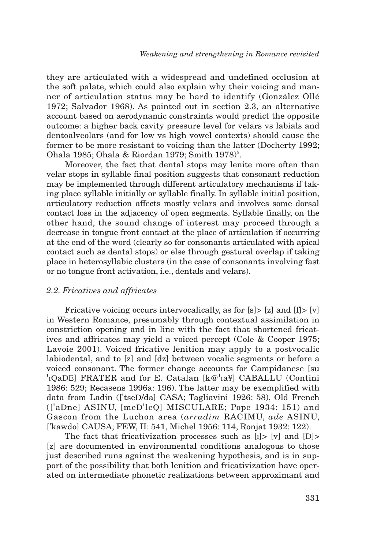they are articulated with a widespread and undefined occlusion at the soft palate, which could also explain why their voicing and manner of articulation status may be hard to identify (González Ollé 1972; Salvador 1968). As pointed out in section 2.3, an alternative account based on aerodynamic constraints would predict the opposite outcome: a higher back cavity pressure level for velars vs labials and dentoalveolars (and for low vs high vowel contexts) should cause the former to be more resistant to voicing than the latter (Docherty 1992; Ohala 1985; Ohala & Riordan 1979; Smith 1978)<sup>5</sup>.

Moreover, the fact that dental stops may lenite more often than velar stops in syllable final position suggests that consonant reduction may be implemented through different articulatory mechanisms if taking place syllable initially or syllable finally. In syllable initial position, articulatory reduction affects mostly velars and involves some dorsal contact loss in the adjacency of open segments. Syllable finally, on the other hand, the sound change of interest may proceed through a decrease in tongue front contact at the place of articulation if occurring at the end of the word (clearly so for consonants articulated with apical contact such as dental stops) or else through gestural overlap if taking place in heterosyllabic clusters (in the case of consonants involving fast or no tongue front activation, i.e., dentals and velars).

#### *2.2. Fricatives and affricates*

Fricative voicing occurs intervocalically, as for [s] > [z] and [f] > [v] in Western Romance, presumably through contextual assimilation in constriction opening and in line with the fact that shortened fricatives and affricates may yield a voiced percept (Cole & Cooper 1975; Lavoie 2001). Voiced fricative lenition may apply to a postvocalic labiodental, and to [z] and [dz] between vocalic segments or before a voiced consonant. The former change accounts for Campidanese [su 'ıQaDE] FRATER and for E. Catalan [k@'ıa¥] CABALLU (Contini 1986: 529; Recasens 1996a: 196). The latter may be exemplified with data from Ladin (['tseD/da] CASA; Tagliavini 1926: 58), Old French (['aDne] ASINU, [meD'leQ] MISCULARE; Pope 1934: 151) and Gascon from the Luchon area (*arradim* RACIMU, *ade* ASINU, ['kawdo] CAUSA; FEW, II: 541, Michel 1956: 114, Ronjat 1932: 122).

The fact that fricativization processes such as [ı]> [v] and [D]> [z] are documented in environmental conditions analogous to those just described runs against the weakening hypothesis, and is in support of the possibility that both lenition and fricativization have operated on intermediate phonetic realizations between approximant and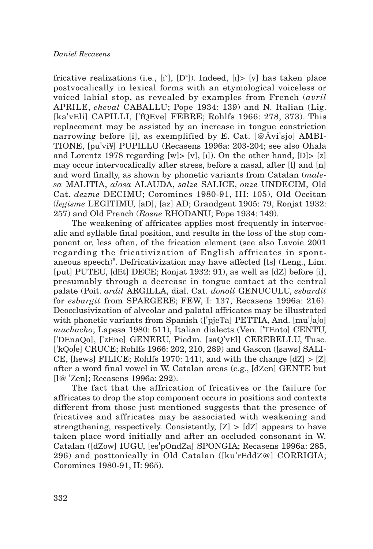fricative realizations (i.e.,  $[i^v]$ ,  $[D^z]$ ). Indeed,  $[i] > [v]$  has taken place postvocalically in lexical forms with an etymological voiceless or voiced labial stop, as revealed by examples from French (*avril* APRILE, *cheval* CABALLU; Pope 1934: 139) and N. Italian (Lig. [ka'vEli] CAPILLI, ['fQEve] FEBRE; Rohlfs 1966: 278, 373). This replacement may be assisted by an increase in tongue constriction narrowing before [i], as exemplified by E. Cat.  $\left[\emptyset\right]\left(\mathcal{A}^{\mathcal{N}}\right]$  and  $\mathcal{A}^{\mathcal{N}}$ ] TIONE, [pu'vi¥] PUPILLU (Recasens 1996a: 203-204; see also Ohala and Lorentz 1978 regarding  $[w] > [v]$ ,  $[i]$ ). On the other hand,  $[D] > [z]$ may occur intervocalically after stress, before a nasal, after [l] and [n] and word finally, as shown by phonetic variants from Catalan (*malesa* MALITIA, *alosa* ALAUDA, *salze* SALICE, *onze* UNDECIM, Old Cat. *dezme* DECIMU; Coromines 1980-91, III: 105), Old Occitan (*legisme* LEGITIMU, [aD], [az] AD; Grandgent 1905: 79, Ronjat 1932: 257) and Old French (*Rosne* RHODANU; Pope 1934: 149).

The weakening of affricates applies most frequently in intervocalic and syllable final position, and results in the loss of the stop component or, less often, of the frication element (see also Lavoie 2001 regarding the fricativization of English affricates in spontaneous speech)<sup>6</sup>. Defricativization may have affected [ts] (Leng., Lim. [put] PUTEU, [dEt] DECE; Ronjat 1932: 91), as well as [dZ] before [i], presumably through a decrease in tongue contact at the central palate (Poit. *ardil* ARGILLA, dial. Cat. *donoll* GENUCULU, *esbardit* for *esbargit* from SPARGERE; FEW, I: 137, Recasens 1996a: 216). Deocclusivization of alveolar and palatal affricates may be illustrated with phonetic variants from Spanish (['pjeTa] PETTIA, And. [mu']a[o] *muchacho*; Lapesa 1980: 511), Italian dialects (Ven. ['TEnto] CENTU, ['DEnaQo], ['zEne] GENERU, Piedm. [saQ'vEl] CEREBELLU, Tusc. ['kQo∫e] CRUCE; Rohlfs 1966: 202, 210, 289) and Gascon ([saws] SALI-CE, [hews] FILICE; Rohlfs 1970: 141), and with the change  $[dZ] > [Z]$ after a word final vowel in W. Catalan areas (e.g., [dZen] GENTE but [l@ 'Zen]; Recasens 1996a: 292).

The fact that the affrication of fricatives or the failure for affricates to drop the stop component occurs in positions and contexts different from those just mentioned suggests that the presence of fricatives and affricates may be associated with weakening and strengthening, respectively. Consistently, [Z] > [dZ] appears to have taken place word initially and after an occluded consonant in W. Catalan ([dZow] IUGU, [es'pOndZa] SPONGIA; Recasens 1996a: 285, 296) and posttonically in Old Catalan ([ku'rEddZ@] CORRIGIA; Coromines 1980-91, II: 965).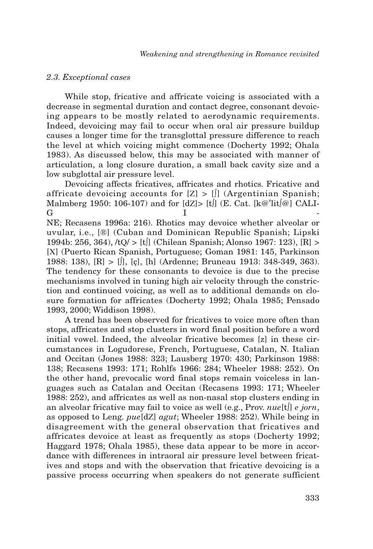## *2.3. Exceptional cases*

While stop, fricative and affricate voicing is associated with a decrease in segmental duration and contact degree, consonant devoicing appears to be mostly related to aerodynamic requirements. Indeed, devoicing may fail to occur when oral air pressure buildup causes a longer time for the transglottal pressure difference to reach the level at which voicing might commence (Docherty 1992; Ohala 1983). As discussed below, this may be associated with manner of articulation, a long closure duration, a small back cavity size and a low subglottal air pressure level.

Devoicing affects fricatives, affricates and rhotics. Fricative and affricate devoicing accounts for  $[Z] > [j]$  (Argentinian Spanish; Malmberg 1950: 106-107) and for  $\frac{dZ}{\epsilon}$  [t] (E. Cat. [k@'lit $\frac{d}{dQ}$ ] CALI-Germanics in the set of  $\mathbf I$ NE; Recasens 1996a: 216). Rhotics may devoice whether alveolar or uvular, i.e., [®] (Cuban and Dominican Republic Spanish; Lipski 1994b: 256, 364), /tQ/ > [t∫] (Chilean Spanish; Alonso 1967: 123), [R] > [X] (Puerto Rican Spanish, Portuguese; Goman 1981: 145, Parkinson 1988: 138), [R] > [∫], [ç], [h] (Ardenne; Bruneau 1913: 348-349, 363). The tendency for these consonants to devoice is due to the precise mechanisms involved in tuning high air velocity through the constriction and continued voicing, as well as to additional demands on closure formation for affricates (Docherty 1992; Ohala 1985; Pensado 1993, 2000; Widdison 1998).

A trend has been observed for fricatives to voice more often than stops, affricates and stop clusters in word final position before a word initial vowel. Indeed, the alveolar fricative becomes [z] in these circumstances in Logudorese, French, Portuguese, Catalan, N. Italian and Occitan (Jones 1988: 323; Lausberg 1970: 430; Parkinson 1988: 138; Recasens 1993: 171; Rohlfs 1966: 284; Wheeler 1988: 252). On the other hand, prevocalic word final stops remain voiceless in languages such as Catalan and Occitan (Recasens 1993: 171; Wheeler 1988: 252), and affricates as well as non-nasal stop clusters ending in an alveolar fricative may fail to voice as well (e.g., Prov. *nue*[t∫] *e jorn*, as opposed to Leng. *pue*[dZ] *agut*; Wheeler 1988: 252). While being in disagreement with the general observation that fricatives and affricates devoice at least as frequently as stops (Docherty 1992; Haggard 1978; Ohala 1985), these data appear to be more in accordance with differences in intraoral air pressure level between fricatives and stops and with the observation that fricative devoicing is a passive process occurring when speakers do not generate sufficient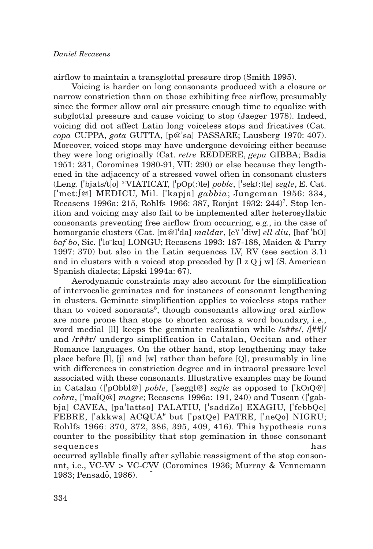airflow to maintain a transglottal pressure drop (Smith 1995).

Voicing is harder on long consonants produced with a closure or narrow constriction than on those exhibiting free airflow, presumably since the former allow oral air pressure enough time to equalize with subglottal pressure and cause voicing to stop (Jaeger 1978). Indeed, voicing did not affect Latin long voiceless stops and fricatives (Cat. *copa* CUPPA, *gota* GUTTA, [p@'sa] PASSARE; Lausberg 1970: 407). Moreover, voiced stops may have undergone devoicing either because they were long originally (Cat. *retre* REDDERE, *gepa* GIBBA; Badia 1951: 231, Coromines 1980-91, VII: 290) or else because they lengthened in the adjacency of a stressed vowel often in consonant clusters (Leng. ['bjats/t∫o] \*VIATICAT, ['pOp(:)le] *poble*, ['sek(:)le] *segle*, E. Cat. ['met:∫@] MEDICU, Mil. ['kapja] *gabbia*; Jungeman 1956: 334, Recasens 1996a: 215, Rohlfs 1966: 387, Ronjat 1932: 244)7 . Stop lenition and voicing may also fail to be implemented after heterosyllabic consonants preventing free airflow from occurring, e.g., in the case of homorganic clusters (Cat. [m@l'da] *maldar*, [e¥ 'diw] *ell diu*, [baf 'bO] *baf bo*, Sic. ['lo˜ku] LONGU; Recasens 1993: 187-188, Maiden & Parry 1997: 370) but also in the Latin sequences LV, RV (see section 3.1) and in clusters with a voiced stop preceded by  $\left[1 \times 0 \right]$  is well. So American Spanish dialects; Lipski 1994a: 67).

Aerodynamic constraints may also account for the simplification of intervocalic geminates and for instances of consonant lengthening in clusters. Geminate simplification applies to voiceless stops rather than to voiced sonorants<sup>8</sup>, though consonants allowing oral airflow are more prone than stops to shorten across a word boundary, i.e., word medial [ll] keeps the geminate realization while /s##s/, /∫##∫/ and /r##r/ undergo simplification in Catalan, Occitan and other Romance languages. On the other hand, stop lengthening may take place before [l], [j] and [w] rather than before [Q], presumably in line with differences in constriction degree and in intraoral pressure level associated with these consonants. Illustrative examples may be found in Catalan (['pObbl@] *poble*, ['seggl@] *segle* as opposed to ['kOıQ@] *cobra*, ['maÏQ@] *magre*; Recasens 1996a: 191, 240) and Tuscan (['gabbja] CAVEA, [pa'lattso] PALATIU, ['saddZo] EXAGIU, ['febbQe] FEBRE, ['akkwa] ACQUA9 but ['patQe] PATRE, ['neQo] NIGRU; Rohlfs 1966: 370, 372, 386, 395, 409, 416). This hypothesis runs counter to the possibility that stop gemination in those consonant sequences has has

occurred syllable finally after syllabic reassigment of the stop consonant, i.e., VC-VV > VC-CV V (Coromines 1936; Murray & Vennemann 1983; Pensadő, 1986). ˝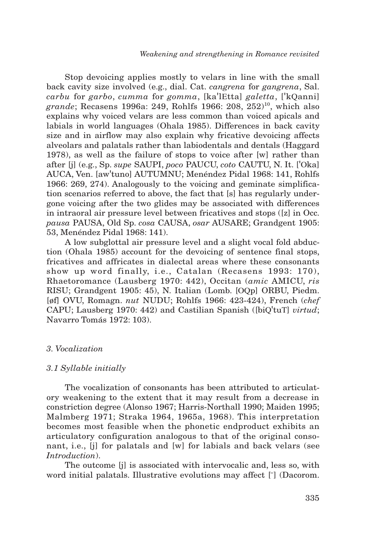Stop devoicing applies mostly to velars in line with the small back cavity size involved (e.g., dial. Cat. *cangrena* for *gangrena*, Sal. *carbu* for *garbo*, *cumma* for *gomma*, [ka'lEtta] *galetta*, ['kQanni] grande; Recasens 1996a: 249, Rohlfs 1966: 208, 252<sup>10</sup>, which also explains why voiced velars are less common than voiced apicals and labials in world languages (Ohala 1985). Differences in back cavity size and in airflow may also explain why fricative devoicing affects alveolars and palatals rather than labiodentals and dentals (Haggard 1978), as well as the failure of stops to voice after [w] rather than after [j] (e.g., Sp. *supe* SAUPI, *poco* PAUCU, *coto* CAUTU, N. It. ['Oka] AUCA, Ven. [aw'tuno] AUTUMNU; Menéndez Pidal 1968: 141, Rohlfs 1966: 269, 274). Analogously to the voicing and geminate simplification scenarios referred to above, the fact that [s] has regularly undergone voicing after the two glides may be associated with differences in intraoral air pressure level between fricatives and stops ([z] in Occ. *pausa* PAUSA, Old Sp. *cosa* CAUSA, *osar* AUSARE; Grandgent 1905: 53, Menéndez Pidal 1968: 141).

A low subglottal air pressure level and a slight vocal fold abduction (Ohala 1985) account for the devoicing of sentence final stops, fricatives and affricates in dialectal areas where these consonants show up word finally, i.e., Catalan (Recasens 1993: 170), Rhaetoromance (Lausberg 1970: 442), Occitan (*amic* AMICU, *ris* RISU; Grandgent 1905: 45), N. Italian (Lomb. [OQp] ORBU, Piedm. [øf] OVU, Romagn. *nut* NUDU; Rohlfs 1966: 423-424), French (*chef* CAPU; Lausberg 1970: 442) and Castilian Spanish ([biQ'tuT] *virtud*; Navarro Tomás 1972: 103).

## *3. Vocalization*

## *3.1 Syllable initially*

The vocalization of consonants has been attributed to articulatory weakening to the extent that it may result from a decrease in constriction degree (Alonso 1967; Harris-Northall 1990; Maiden 1995; Malmberg 1971; Straka 1964, 1965a, 1968). This interpretation becomes most feasible when the phonetic endproduct exhibits an articulatory configuration analogous to that of the original consonant, i.e., [j] for palatals and [w] for labials and back velars (see *Introduction*).

The outcome [j] is associated with intervocalic and, less so, with word initial palatals. Illustrative evolutions may affect [ $\dot{ }$ ] (Dacorom.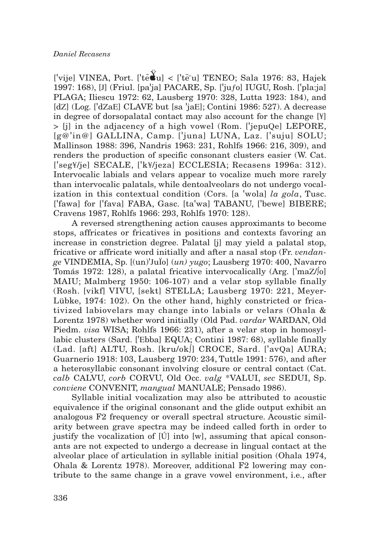['vije] VINEA, Port. ['tĕMu] < ['tēu] TENEO; Sala 1976: 83, Hajek 1997: 168), [J] (Friul. [pa'ja] PACARE, Sp. ['juƒo] IUGU, Rosh. ['pla:ja] PLAGA; Iliescu 1972: 62, Lausberg 1970: 328, Lutta 1923: 184), and [dZ] (Log. ['dZaE] CLAVE but [sa 'jaE]; Contini 1986: 527). A decrease in degree of dorsopalatal contact may also account for the change [¥] > [j] in the adjacency of a high vowel (Rom. ['jepuQe] LEPORE, [g@'in@] GALLINA, Camp. ['juna] LUNA, Laz. ['suju] SOLU; Mallinson 1988: 396, Nandris 1963: 231, Rohlfs 1966: 216, 309), and renders the production of specific consonant clusters easier (W. Cat. ['seg¥/je] SECALE, ['k¥/jeza] ECCLESIA; Recasens 1996a: 312). Intervocalic labials and velars appear to vocalize much more rarely than intervocalic palatals, while dentoalveolars do not undergo vocalization in this contextual condition (Cors. [a 'wola] *la gola*, Tusc. ['fawa] for ['fava] FABA, Gasc. [ta'wa] TABANU, ['bewe] BIBERE; Cravens 1987, Rohlfs 1966: 293, Rohlfs 1970: 128).

A reversed strengthening action causes approximants to become stops, affricates or fricatives in positions and contexts favoring an increase in constriction degree. Palatal [j] may yield a palatal stop, fricative or affricate word initially and after a nasal stop (Fr. *vendange* VINDEMIA, Sp. [(un)'JuÏo] (*un) yugo*; Lausberg 1970: 400, Navarro Tomás 1972: 128), a palatal fricative intervocalically (Arg. ['maZ/∫o] MAIU; Malmberg 1950: 106-107) and a velar stop syllable finally (Rosh. [vikf] VIVU, [sekt] STELLA; Lausberg 1970: 221, Meyer-Lübke, 1974: 102). On the other hand, highly constricted or fricativized labiovelars may change into labials or velars (Ohala & Lorentz 1978) whether word initially (Old Pad. *vardar* WARDAN, Old Piedm. *visa* WISA; Rohlfs 1966: 231), after a velar stop in homosyllabic clusters (Sard. ['Ebba] EQUA; Contini 1987: 68), syllable finally (Lad. [aft] ALTU, Rosh. [kru/ok∫] CROCE, Sard. ['avQa] AURA; Guarnerio 1918: 103, Lausberg 1970: 234, Tuttle 1991: 576), and after a heterosyllabic consonant involving closure or central contact (Cat. *calb* CALVU, *corb* CORVU, Old Occ. *valg* \*VALUI, *sec* SEDUI, Sp. *conviene* CONVENIT, *mangual* MANUALE; Pensado 1986).

Syllable initial vocalization may also be attributed to acoustic equivalence if the original consonant and the glide output exhibit an analogous F2 frequency or overall spectral structure. Acoustic similarity between grave spectra may be indeed called forth in order to justify the vocalization of [Ú] into [w], assuming that apical consonants are not expected to undergo a decrease in lingual contact at the alveolar place of articulation in syllable initial position (Ohala 1974, Ohala & Lorentz 1978). Moreover, additional F2 lowering may contribute to the same change in a grave vowel environment, i.e., after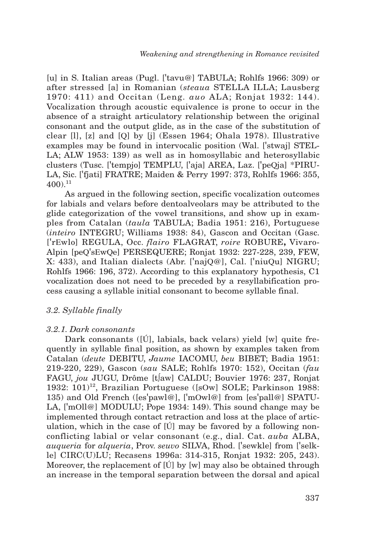[u] in S. Italian areas (Pugl. ['tavu@] TABULA; Rohlfs 1966: 309) or after stressed [a] in Romanian (*steaua* STELLA ILLA; Lausberg 1970: 411) and Occitan (Leng. *auo* ALA; Ronjat 1932: 144). Vocalization through acoustic equivalence is prone to occur in the absence of a straight articulatory relationship between the original consonant and the output glide, as in the case of the substitution of clear [l], [z] and [Q] by [j] (Essen 1964; Ohala 1978). Illustrative examples may be found in intervocalic position (Wal. ['stwaj] STEL-LA; ALW 1953: 139) as well as in homosyllabic and heterosyllabic clusters (Tusc. ['tempjo] TEMPLU, ['aja] AREA, Laz. ['peQja] \*PIRU-LA, Sic. ['fjati] FRATRE; Maiden & Perry 1997: 373, Rohlfs 1966: 355,  $400$ <sup>11</sup>

As argued in the following section, specific vocalization outcomes for labials and velars before dentoalveolars may be attributed to the glide categorization of the vowel transitions, and show up in examples from Catalan (*taula* TABULA; Badia 1951: 216), Portuguese (*inteiro* INTEGRU; Williams 1938: 84), Gascon and Occitan (Gasc. ['rEwlo] REGULA, Occ. *flairo* FLAGRAT, *roire* ROBURE**,** Vivaro-Alpin [peQ'sEwQe] PERSEQUERE; Ronjat 1932: 227-228, 239, FEW, X: 433), and Italian dialects (Abr. ['najQ@], Cal. ['niuQu] NIGRU; Rohlfs 1966: 196, 372). According to this explanatory hypothesis, C1 vocalization does not need to be preceded by a resyllabification process causing a syllable initial consonant to become syllable final.

## *3.2. Syllable finally*

## *3.2.1. Dark consonants*

Dark consonants ( $[\hat{U}]$ , labials, back velars) yield [w] quite frequently in syllable final position, as shown by examples taken from Catalan (*deute* DEBITU, *Jaume* IACOMU, *beu* BIBET; Badia 1951: 219-220, 229), Gascon (*sau* SALE; Rohlfs 1970: 152), Occitan (*fau* FAGU, *jou* JUGU, Drôme [t∫aw] CALDU; Bouvier 1976: 237, Ronjat 1932:  $101$ <sup>12</sup>, Brazilian Portuguese ([sOw] SOLE; Parkinson 1988: 135) and Old French ([es'pawl@], ['mOwl@] from [es'pall@] SPATU-LA, ['mOll@] MODULU; Pope 1934: 149). This sound change may be implemented through contact retraction and loss at the place of articulation, which in the case of [Ú] may be favored by a following nonconflicting labial or velar consonant (e.g., dial. Cat. *auba* ALBA, *auqueria* for *alqueria*, Prov. *seuvo* SILVA, Rhod. ['sewkle] from ['selkle] CIRC(U)LU; Recasens 1996a: 314-315, Ronjat 1932: 205, 243). Moreover, the replacement of  $\mathfrak{[}U\mathfrak{[}V\mathfrak{[}W\mathfrak{[}W\mathfrak{[}W\mathfrak{[}W\mathfrak{[}W\mathfrak{[}W\mathfrak{[}W\mathfrak{[}W\mathfrak{[}W\mathfrak{[}W\mathfrak{[}W\mathfrak{[}W\mathfrak{[}W\mathfrak{[}W\mathfrak{[}W\mathfrak{[}W\mathfrak{[}W\mathfrak{[}W\mathfrak{[}W\mathfrak{[}W\mathfrak{[}W\mathfrak{[}$ an increase in the temporal separation between the dorsal and apical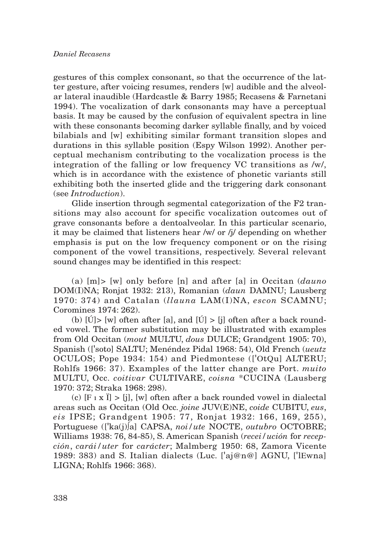gestures of this complex consonant, so that the occurrence of the latter gesture, after voicing resumes, renders [w] audible and the alveolar lateral inaudible (Hardcastle & Barry 1985; Recasens & Farnetani 1994). The vocalization of dark consonants may have a perceptual basis. It may be caused by the confusion of equivalent spectra in line with these consonants becoming darker syllable finally, and by voiced bilabials and [w] exhibiting similar formant transition slopes and durations in this syllable position (Espy Wilson 1992). Another perceptual mechanism contributing to the vocalization process is the integration of the falling or low frequency VC transitions as /w/, which is in accordance with the existence of phonetic variants still exhibiting both the inserted glide and the triggering dark consonant (see *Introduction*).

Glide insertion through segmental categorization of the F2 transitions may also account for specific vocalization outcomes out of grave consonants before a dentoalveolar. In this particular scenario, it may be claimed that listeners hear /w/ or /j/ depending on whether emphasis is put on the low frequency component or on the rising component of the vowel transitions, respectively. Several relevant sound changes may be identified in this respect:

(a) [m]> [w] only before [n] and after [a] in Occitan (*dauno* DOM(I)NA; Ronjat 1932: 213), Romanian (*daun* DAMNU; Lausberg 1970: 374) and Catalan (*llauna* LAM(I)NA, *escon* SCAMNU; Coromines 1974: 262).

(b)  $\text{[U]}$  [w] often after [a], and  $\text{[U]} > \text{[i]}$  often after a back rounded vowel. The former substitution may be illustrated with examples from Old Occitan (*mout* MULTU, *dous* DULCE; Grandgent 1905: 70), Spanish (['soto] SALTU; Menéndez Pidal 1968: 54), Old French (*ueutz* OCULOS; Pope 1934: 154) and Piedmontese (['OtQu] ALTERU; Rohlfs 1966: 37). Examples of the latter change are Port. *muito* MULTU, Occ. *coitivar* CULTIVARE, *coisna* \*CUCINA (Lausberg 1970: 372; Straka 1968: 298).

(c)  $[F \perp x \perp] > [j]$ ,  $[w]$  often after a back rounded vowel in dialectal areas such as Occitan (Old Occ. *joine* JUV(E)NE, *coide* CUBITU, *eus*, *eis* IPSE; Grandgent 1905: 77, Ronjat 1932: 166, 169, 255), Portuguese (['ka(j)∫a] CAPSA, *noi/ute* NOCTE, *outubro* OCTOBRE; Williams 1938: 76, 84-85), S. American Spanish (*recei/ución* for *recepción*, *carái/uter* for *carácter*; Malmberg 1950: 68, Zamora Vicente 1989: 383) and S. Italian dialects (Luc. ['aj@n@] AGNU, ['lEwna] LIGNA; Rohlfs 1966: 368).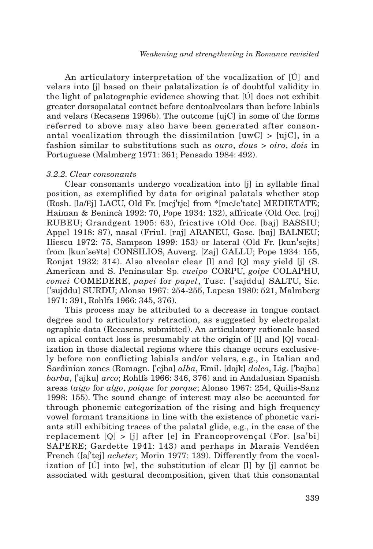An articulatory interpretation of the vocalization of [Ú] and velars into [j] based on their palatalization is of doubtful validity in the light of palatographic evidence showing that [Ú] does not exhibit greater dorsopalatal contact before dentoalveolars than before labials and velars (Recasens 1996b). The outcome [ujC] in some of the forms referred to above may also have been generated after consonantal vocalization through the dissimilation  $[uwC] > [uiC]$ , in a fashion similar to substitutions such as *ouro*, *dous* > *oiro*, *dois* in Portuguese (Malmberg 1971: 361; Pensado 1984: 492).

## *3.2.2. Clear consonants*

Clear consonants undergo vocalization into [j] in syllable final position, as exemplified by data for original palatals whether stop (Rosh. [la/Ej] LACU, Old Fr. [mej'tje] from \*[meJe'tate] MEDIETATE; Haiman & Benincà 1992: 70, Pope 1934: 132), affricate (Old Occ. [roj] RUBEU; Grandgent 1905: 63), fricative (Old Occ. [baj] BASSIU; Appel 1918: 87), nasal (Friul. [raj] ARANEU, Gasc. [baj] BALNEU; Iliescu 1972: 75, Sampson 1999: 153) or lateral (Old Fr. [kun'sejts] from [kun'se¥ts] CONSILIOS, Auverg. [Zaj] GALLU; Pope 1934: 155, Ronjat 1932: 314). Also alveolar clear [l] and [Q] may yield [j] (S. American and S. Peninsular Sp. *cueipo* CORPU, *goipe* COLAPHU, *comei* COMEDERE, *papei* for *papel*, Tusc. ['sajddu] SALTU, Sic. ['sujddu] SURDU; Alonso 1967: 254-255, Lapesa 1980: 521, Malmberg 1971: 391, Rohlfs 1966: 345, 376).

This process may be attributed to a decrease in tongue contact degree and to articulatory retraction, as suggested by electropalat ographic data (Recasens, submitted). An articulatory rationale based on apical contact loss is presumably at the origin of [l] and [Q] vocalization in those dialectal regions where this change occurs exclusively before non conflicting labials and/or velars, e.g., in Italian and Sardinian zones (Romagn. ['ejba] *alba*, Emil. [dojk] *dolco*, Lig. ['bajba] *barba*, ['ajku] *arco*; Rohlfs 1966: 346, 376) and in Andalusian Spanish areas (*aigo* for *algo*, *poique* for *porque*; Alonso 1967: 254, Quilis-Sanz 1998: 155). The sound change of interest may also be accounted for through phonemic categorization of the rising and high frequency vowel formant transitions in line with the existence of phonetic variants still exhibiting traces of the palatal glide, e.g., in the case of the replacement [Q] > [j] after [e] in Francoprovençal (For. [sa'bi] SAPERE; Gardette 1941: 143) and perhaps in Marais Vendéen French ([a∫'tej] *acheter*; Morin 1977: 139). Differently from the vocalization of [Ú] into [w], the substitution of clear [l] by [j] cannot be associated with gestural decomposition, given that this consonantal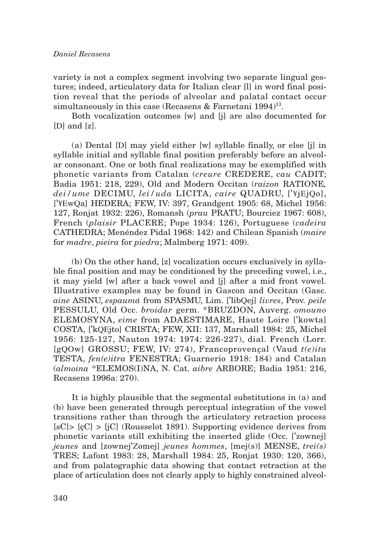variety is not a complex segment involving two separate lingual gestures; indeed, articulatory data for Italian clear [l] in word final position reveal that the periods of alveolar and palatal contact occur simultaneously in this case (Recasens & Farnetani 1994)<sup>13</sup>.

Both vocalization outcomes [w] and [j] are also documented for  $[D]$  and  $[z]$ .

(a) Dental [D] may yield either [w] syllable finally, or else [j] in syllable initial and syllable final position preferably before an alveolar consonant. One or both final realizations may be exemplified with phonetic variants from Catalan (*creure* CREDERE, *cau* CADIT; Badia 1951: 218, 229), Old and Modern Occitan (*raizon* RATIONE*, dei/ume* DECIMU, *lei/uda* LICITA, *caire* QUADRU, ['¥jEjQo], ['¥EwQa] HEDERA; FEW, IV: 397, Grandgent 1905: 68, Michel 1956: 127, Ronjat 1932: 226), Romansh (*prau* PRATU; Bourciez 1967: 608), French (*plaisir* PLACERE; Pope 1934: 126), Portuguese (*cadeira* CATHEDRA; Menéndez Pidal 1968: 142) and Chilean Spanish (*maire* for *madre*, *pieira* for *piedra*; Malmberg 1971: 409).

(b) On the other hand, [z] vocalization occurs exclusively in syllable final position and may be conditioned by the preceding vowel, i.e., it may yield [w] after a back vowel and [j] after a mid front vowel. Illustrative examples may be found in Gascon and Occitan (Gasc. *aine* ASINU, *espaumá* from SPASMU, Lim. ['libQej] *livres*, Prov. *peile* PESSULU, Old Occ. *broidar* germ. \*BRUZDON, Auverg. *omouno* ELEMOSYNA, *eime* from ADAESTIMARE, Haute Loire ['kowta] COSTA, ['kQEjto] CRISTA; FEW, XII: 137, Marshall 1984: 25, Michel 1956: 125-127, Nauton 1974: 1974: 226-227), dial. French (Lorr. [gQOw] GROSSU; FEW, IV: 274), Francoprovençal (Vaud *t(e)ita* TESTA, *fen(e)itra* FENESTRA; Guarnerio 1918: 184) and Catalan (*almoina* \*ELEMOS(I)NA, N. Cat. *aibre* ARBORE; Badia 1951: 216, Recasens 1996a: 270).

It is highly plausible that the segmental substitutions in (a) and (b) have been generated through perceptual integration of the vowel transitions rather than through the articulatory retraction process  $[sC]$  >  $[cC]$  >  $[iC]$  (Rousselot 1891). Supporting evidence derives from phonetic variants still exhibiting the inserted glide (Occ. ['zownej] *jeunes* and [zownej'Zomej] *jeunes hommes*, [mej(s)] MENSE, *trei(s)* TRES; Lafont 1983: 28, Marshall 1984: 25, Ronjat 1930: 120, 366), and from palatographic data showing that contact retraction at the place of articulation does not clearly apply to highly constrained alveol-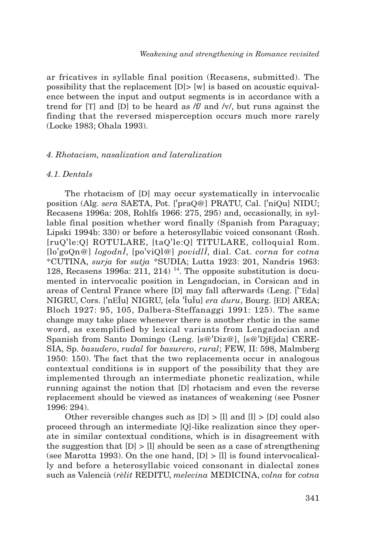ar fricatives in syllable final position (Recasens, submitted). The possibility that the replacement [D]> [w] is based on acoustic equivalence between the input and output segments is in accordance with a trend for [T] and [D] to be heard as /f/ and /v/, but runs against the finding that the reversed misperception occurs much more rarely (Locke 1983; Ohala 1993).

## *4. Rhotacism, nasalization and lateralization*

## *4.1. Dentals*

The rhotacism of [D] may occur systematically in intervocalic position (Alg. *sera* SAETA, Pot. ['praQ@] PRATU, Cal. ['niQu] NIDU; Recasens 1996a: 208, Rohlfs 1966: 275, 295) and, occasionally, in syllable final position whether word finally (Spanish from Paraguay; Lipski 1994b: 330) or before a heterosyllabic voiced consonant (Rosh. [ruQ'le:Q] ROTULARE, [taQ'le:Q] TITULARE, colloquial Rom. [lo'goQn@] *logodnÎ*, [po'viQl@] *povidlÎ*, dial. Cat. *corna* for *cotna* \*CUTINA, *surja* for *sutja* \*SUDIA; Lutta 1923: 201, Nandris 1963: 128, Recasens 1996a: 211, 214)<sup>14</sup>. The opposite substitution is documented in intervocalic position in Lengadocian, in Corsican and in areas of Central France where [D] may fall afterwards (Leng. ['¯Eda] NIGRU, Cors. ['nEÎu] NIGRU, [eÎa 'ÎuÎu] *era duru*, Bourg. [ED] AREA; Bloch 1927: 95, 105, Dalbera-Steffanaggi 1991: 125). The same change may take place whenever there is another rhotic in the same word, as exemplified by lexical variants from Lengadocian and Spanish from Santo Domingo (Leng. [s@'Diz@], [s@'DjEjda] CERE-SIA, Sp. *basudero*, *rudal* for *basurero*, *rural*; FEW, II: 598, Malmberg 1950: 150). The fact that the two replacements occur in analogous contextual conditions is in support of the possibility that they are implemented through an intermediate phonetic realization, while running against the notion that [D] rhotacism and even the reverse replacement should be viewed as instances of weakening (see Posner 1996: 294).

Other reversible changes such as  $[D] > [l]$  and  $[l] > [D]$  could also proceed through an intermediate [Q]-like realization since they operate in similar contextual conditions, which is in disagreement with the suggestion that  $[D] > [1]$  should be seen as a case of strengthening (see Marotta 1993). On the one hand,  $[D] > [1]$  is found intervocalically and before a heterosyllabic voiced consonant in dialectal zones such as Valencià (*rèlit* REDITU, *melecina* MEDICINA, *colna* for *cotna*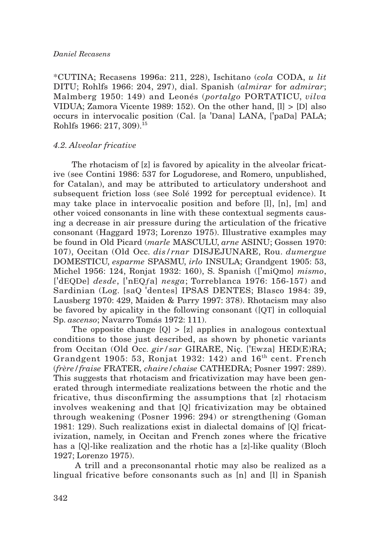## *Daniel Recasens*

\*CUTINA; Recasens 1996a: 211, 228), Ischitano (*cola* CODA, *u lit* DITU; Rohlfs 1966: 204, 297), dial. Spanish (*almirar* for *admirar*; Malmberg 1950: 149) and Leonés (*portalgo* PORTATICU, *vilva* VIDUA; Zamora Vicente 1989: 152). On the other hand, [l] > [D] also occurs in intervocalic position (Cal. [a 'Dana] LANA, ['paDa] PALA; Rohlfs 1966: 217, 309).15

## *4.2. Alveolar fricative*

The rhotacism of [z] is favored by apicality in the alveolar fricative (see Contini 1986: 537 for Logudorese, and Romero, unpublished, for Catalan), and may be attributed to articulatory undershoot and subsequent friction loss (see Solé 1992 for perceptual evidence). It may take place in intervocalic position and before [l], [n], [m] and other voiced consonants in line with these contextual segments causing a decrease in air pressure during the articulation of the fricative consonant (Haggard 1973; Lorenzo 1975). Illustrative examples may be found in Old Picard (*marle* MASCULU, *arne* ASINU; Gossen 1970: 107), Occitan (Old Occ. *dis/rnar* DISJEJUNARE, Rou. *dumergue* DOMESTICU, *esparme* SPASMU, *irlo* INSULA; Grandgent 1905: 53, Michel 1956: 124, Ronjat 1932: 160), S. Spanish (['miQmo] *mismo*, ['dEQDe] *desde*, ['nEQƒa] *nesga*; Torreblanca 1976: 156-157) and Sardinian (Log. [saQ 'dentes] IPSAS DENTES; Blasco 1984: 39, Lausberg 1970: 429, Maiden & Parry 1997: 378). Rhotacism may also be favored by apicality in the following consonant ([QT] in colloquial Sp. *ascenso*; Navarro Tomás 1972: 111).

The opposite change  $[Q] > [z]$  applies in analogous contextual conditions to those just described, as shown by phonetic variants from Occitan (Old Occ. *gir/sar* GIRARE, Niç. ['Ewza] HED(E)RA; Grandgent 1905: 53, Ronjat 1932: 142) and  $16<sup>th</sup>$  cent. French (*frère/fraise* FRATER, *chaire/chaise* CATHEDRA; Posner 1997: 289). This suggests that rhotacism and fricativization may have been generated through intermediate realizations between the rhotic and the fricative, thus disconfirming the assumptions that [z] rhotacism involves weakening and that [Q] fricativization may be obtained through weakening (Posner 1996: 294) or strengthening (Goman 1981: 129). Such realizations exist in dialectal domains of [Q] fricativization, namely, in Occitan and French zones where the fricative has a [Q]-like realization and the rhotic has a [z]-like quality (Bloch 1927; Lorenzo 1975).

A trill and a preconsonantal rhotic may also be realized as a lingual fricative before consonants such as [n] and [l] in Spanish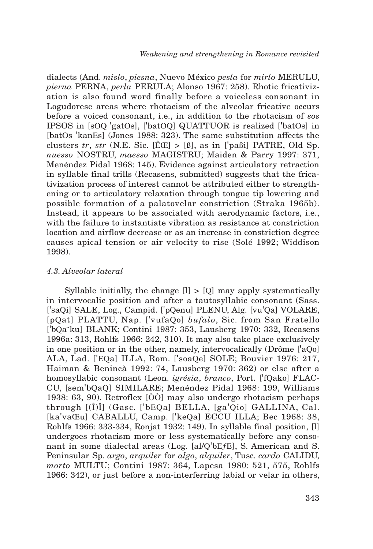dialects (And. *mislo*, *piesna*, Nuevo México *pesla* for *mirlo* MERULU, *pierna* PERNA, *perla* PERULA; Alonso 1967: 258). Rhotic fricativization is also found word finally before a voiceless consonant in Logudorese areas where rhotacism of the alveolar fricative occurs before a voiced consonant, i.e., in addition to the rhotacism of *sos* IPSOS in [sOQ 'gatOs], ['batOQ] QUATTUOR is realized ['batOs] in [batOs 'kanEs] (Jones 1988: 323). The same substitution affects the clusters *tr*, *str* (N.E. Sic.  $[\hat{E} \times \hat{B}] > [\hat{B}]$ , as in ['paßi] PATRE, Old Sp. *nuesso* NOSTRU, *maesso* MAGISTRU; Maiden & Parry 1997: 371, Menéndez Pidal 1968: 145). Evidence against articulatory retraction in syllable final trills (Recasens, submitted) suggests that the fricativization process of interest cannot be attributed either to strengthening or to articulatory relaxation through tongue tip lowering and possible formation of a palatovelar constriction (Straka 1965b). Instead, it appears to be associated with aerodynamic factors, i.e., with the failure to instantiate vibration as resistance at constriction location and airflow decrease or as an increase in constriction degree causes apical tension or air velocity to rise (Solé 1992; Widdison 1998).

## *4.3. Alveolar lateral*

Syllable initially, the change [l] > [Q] may apply systematically in intervocalic position and after a tautosyllabic consonant (Sass. ['saQi] SALE, Log., Campid. ['pQenu] PLENU, Alg. [vu'Qa] VOLARE, [pQat] PLATTU, Nap. ['vufaQo] *bufalo*, Sic. from San Fratello ['bQa˜ku] BLANK; Contini 1987: 353, Lausberg 1970: 332, Recasens 1996a: 313, Rohlfs 1966: 242, 310). It may also take place exclusively in one position or in the other, namely, intervocalically (Drôme ['aQo] ALA, Lad. ['EQa] ILLA, Rom. ['soaQe] SOLE; Bouvier 1976: 217, Haiman & Benincà 1992: 74, Lausberg 1970: 362) or else after a homosyllabic consonant (Leon. *igrésia*, *branco*, Port. ['fQako] FLAC-CU, [sem'bQaQ] SIMILARE; Menéndez Pidal 1968: 199, Williams 1938: 63, 90). Retroflex [ÒÒ] may also undergo rhotacism perhaps through [(Î)Î] (Gasc. ['bEQa] BELLA, [ga'Qio] GALLINA, Cal. [ka'vaŒu] CABALLU, Camp. ['keQa] ECCU ILLA; Bec 1968: 38, Rohlfs 1966: 333-334, Ronjat 1932: 149). In syllable final position, [l] undergoes rhotacism more or less systematically before any consonant in some dialectal areas (Log. [al/Q'bEƒE], S. American and S. Peninsular Sp. *argo*, *arquiler* for *algo*, *alquiler*, Tusc. *cardo* CALIDU, *morto* MULTU; Contini 1987: 364, Lapesa 1980: 521, 575, Rohlfs 1966: 342), or just before a non-interferring labial or velar in others,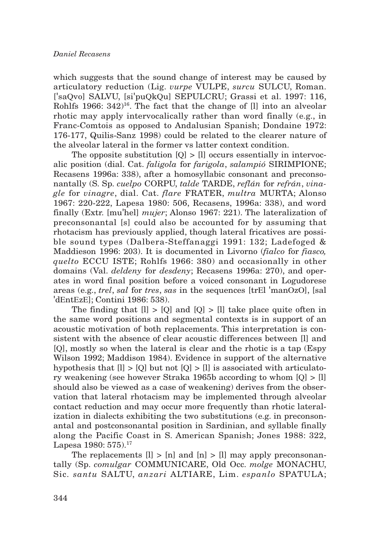which suggests that the sound change of interest may be caused by articulatory reduction (Lig. *vurpe* VULPE, *surcu* SULCU, Roman. ['saQvo] SALVU, [si'puQkQu] SEPULCRU; Grassi et al. 1997: 116, Rohlfs 1966:  $342)^{16}$ . The fact that the change of [l] into an alveolar rhotic may apply intervocalically rather than word finally (e.g., in Franc-Comtois as opposed to Andalusian Spanish; Dondaine 1972: 176-177, Quilis-Sanz 1998) could be related to the clearer nature of the alveolar lateral in the former vs latter context condition.

The opposite substitution  $[0] > [1]$  occurs essentially in intervocalic position (dial. Cat. *faligola* for *farigola*, *salampió* SIRIMPIONE; Recasens 1996a: 338), after a homosyllabic consonant and preconsonantally (S. Sp. *cuelpo* CORPU, *talde* TARDE, *reflán* for *refrán*, *vinagle* for *vinagre*, dial. Cat. *flare* FRATER, *multra* MURTA; Alonso 1967: 220-222, Lapesa 1980: 506, Recasens, 1996a: 338), and word finally (Extr. [mu'hel] *mujer*; Alonso 1967: 221). The lateralization of preconsonantal [s] could also be accounted for by assuming that rhotacism has previously applied, though lateral fricatives are possible sound types (Dalbera-Steffanaggi 1991: 132; Ladefoged & Maddieson 1996: 203). It is documented in Livorno (*fialco* for *fiasco, quelto* ECCU ISTE; Rohlfs 1966: 380) and occasionally in other domains (Val. *deldeny* for *desdeny*; Recasens 1996a: 270), and operates in word final position before a voiced consonant in Logudorese areas (e.g., *trel*, *sal* for *tres*, *sas* in the sequences [trEl 'manOzO], [sal 'dEntEzE]; Contini 1986: 538).

The finding that  $[l] > [Q]$  and  $[Q] > [l]$  take place quite often in the same word positions and segmental contexts is in support of an acoustic motivation of both replacements. This interpretation is consistent with the absence of clear acoustic differences between [l] and [Q], mostly so when the lateral is clear and the rhotic is a tap (Espy Wilson 1992; Maddison 1984). Evidence in support of the alternative hypothesis that  $[l] > [Q]$  but not  $[Q] > [l]$  is associated with articulatory weakening (see however Straka 1965b according to whom [Q] > [l] should also be viewed as a case of weakening) derives from the observation that lateral rhotacism may be implemented through alveolar contact reduction and may occur more frequently than rhotic lateralization in dialects exhibiting the two substitutions (e.g. in preconsonantal and postconsonantal position in Sardinian, and syllable finally along the Pacific Coast in S. American Spanish; Jones 1988: 322, Lapesa 1980:  $575$ ).<sup>17</sup>

The replacements  $[1] > [n]$  and  $[n] > [1]$  may apply preconsonantally (Sp. *comulgar* COMMUNICARE, Old Occ. *molge* MONACHU, Sic. *santu* SALTU, *anzari* ALTIARE, Lim. *espanlo* SPATULA;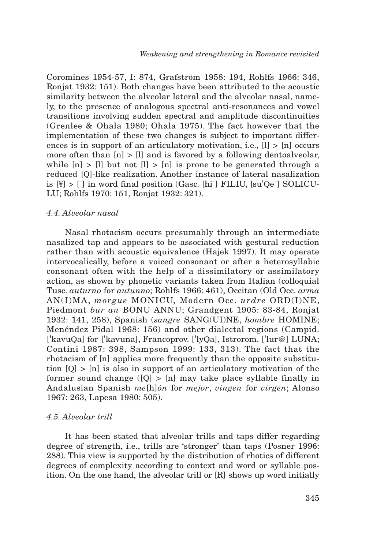Coromines 1954-57, I: 874, Grafström 1958: 194, Rohlfs 1966: 346, Ronjat 1932: 151). Both changes have been attributed to the acoustic similarity between the alveolar lateral and the alveolar nasal, namely, to the presence of analogous spectral anti-resonances and vowel transitions involving sudden spectral and amplitude discontinuities (Grenlee & Ohala 1980; Ohala 1975). The fact however that the implementation of these two changes is subject to important differences is in support of an articulatory motivation, i.e.,  $[1] > [n]$  occurs more often than  $[n] > [l]$  and is favored by a following dentoalveolar, while  $[n] > [1]$  but not  $[1] > [n]$  is prone to be generated through a reduced [Q]-like realization. Another instance of lateral nasalization is  $[\frac{y}{f}] > [\frac{1}{f}]$  in word final position (Gasc. [hi<sup>-</sup>] FILIU, [su<sup>'</sup>Qe<sup>-</sup>] SOLICU-LU; Rohlfs 1970: 151, Ronjat 1932: 321).

## *4.4. Alveolar nasal*

Nasal rhotacism occurs presumably through an intermediate nasalized tap and appears to be associated with gestural reduction rather than with acoustic equivalence (Hajek 1997). It may operate intervocalically, before a voiced consonant or after a heterosyllabic consonant often with the help of a dissimilatory or assimilatory action, as shown by phonetic variants taken from Italian (colloquial Tusc. *auturno* for *autunno*; Rohlfs 1966: 461), Occitan (Old Occ. *arma* AN(I)MA, *morgue* MONICU, Modern Occ. *urdre* ORD(I)NE, Piedmont *bur an* BONU ANNU; Grandgent 1905: 83-84, Ronjat 1932: 141, 258), Spanish (*sangre* SANG(UI)NE, *hombre* HOMINE; Menéndez Pidal 1968: 156) and other dialectal regions (Campid. ['kavuQa] for ['kavuna], Francoprov. ['lyQa], Istrorom. ['lur@] LUNA; Contini 1987: 398, Sampson 1999: 133, 313). The fact that the rhotacism of [n] applies more frequently than the opposite substitution  $[Q] > [n]$  is also in support of an articulatory motivation of the former sound change  $([Q] > [n]$  may take place syllable finally in Andalusian Spanish *me*[h]*ón* for *mejor*, *vingen* for *virgen*; Alonso 1967: 263, Lapesa 1980: 505).

#### *4.5. Alveolar trill*

It has been stated that alveolar trills and taps differ regarding degree of strength, i.e., trills are 'stronger' than taps (Posner 1996: 288). This view is supported by the distribution of rhotics of different degrees of complexity according to context and word or syllable position. On the one hand, the alveolar trill or [R] shows up word initially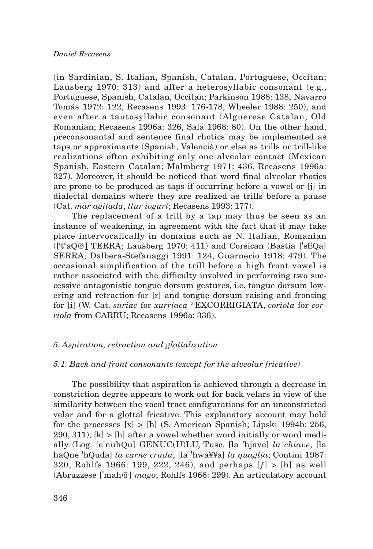(in Sardinian, S. Italian, Spanish, Catalan, Portuguese, Occitan; Lausberg 1970: 313) and after a heterosyllabic consonant (e.g., Portuguese, Spanish, Catalan, Occitan; Parkinson 1988: 138, Navarro Tomás 1972: 122, Recasens 1993: 176-178, Wheeler 1988: 250), and even after a tautosyllabic consonant (Alguerese Catalan, Old Romanian; Recasens 1996a: 326, Sala 1968: 80). On the other hand, preconsonantal and sentence final rhotics may be implemented as taps or approximants (Spanish, Valencià) or else as trills or trill-like realizations often exhibiting only one alveolar contact (Mexican Spanish, Eastern Catalan; Malmberg 1971: 436, Recasens 1996a: 327). Moreover, it should be noticed that word final alveolar rhotics are prone to be produced as taps if occurring before a vowel or [j] in dialectal domains where they are realized as trills before a pause (Cat. *mar agitada*, *llur iogurt*; Recasens 1993: 177).

The replacement of a trill by a tap may thus be seen as an instance of weakening, in agreement with the fact that it may take place intervocalically in domains such as N. Italian, Romanian (['ts aQ@] TERRA; Lausberg 1970: 411) and Corsican (Bastia ['sEQa] SERRA; Dalbera-Stefanaggi 1991: 124, Guarnerio 1918: 479). The occasional simplification of the trill before a high front vowel is rather associated with the difficulty involved in performing two successive antagonistic tongue dorsum gestures, i.e. tongue dorsum lowering and retraction for [r] and tongue dorsum raising and fronting for [i] (W. Cat. *suriac* for *xurriaca* \*EXCORRIGIATA, *coriola* for *corriola* from CARRU; Recasens 1996a: 336).

## *5. Aspiration, retraction and glottalization*

## *5.1. Back and front consonants (except for the alveolar fricative)*

The possibility that aspiration is achieved through a decrease in constriction degree appears to work out for back velars in view of the similarity between the vocal tract configurations for an unconstricted velar and for a glottal fricative. This explanatory account may hold for the processes  $[x] > [h]$  (S. American Spanish; Lipski 1994b: 256, 290, 311),  $[k] > [h]$  after a vowel whether word initially or word medially (Log. [e'nuhQu] GENUC(U)LU, Tusc. [la 'hjave] *la chiave*, [la haQne 'hQuda] *la carne cruda*, [la 'hwa¥¥a] *la quaglia*; Contini 1987: 320, Rohlfs 1966: 199, 222, 246), and perhaps  $[f] > [h]$  as well (Abruzzese ['mah@] *mago*; Rohlfs 1966: 299). An articulatory account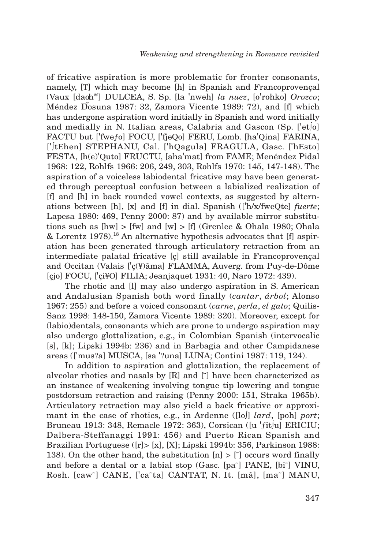of fricative aspiration is more problematic for fronter consonants, namely, [T] which may become [h] in Spanish and Francoprovençal (Vaux [dao h@] DULCEA, S. Sp. [la 'nweh] *la nuez*, [o'rohko] *Orozco*; Méndez Dosuna 1987: 32, Zamora Vicente 1989: 72), and [f] which has undergone aspiration word initially in Spanish and word initially and medially in N. Italian areas, Calabria and Gascon (Sp. ['et∫o] FACTU but ['fweƒo] FOCU, ['fjeQo] FERU, Lomb. [ha'Qina] FARINA, ['∫tEhen] STEPHANU, Cal. ['hQagula] FRAGULA, Gasc. ['hEsto] FESTA, [h(e)'Quto] FRUCTU, [aha'mat] from FAME; Menéndez Pidal 1968: 122, Rohlfs 1966: 206, 249, 303, Rohlfs 1970: 145, 147-148). The aspiration of a voiceless labiodental fricative may have been generated through perceptual confusion between a labialized realization of [f] and [h] in back rounded vowel contexts, as suggested by alternations between [h], [x] and [f] in dial. Spanish (['h/x/fweQte] *fuerte*; Lapesa 1980: 469, Penny 2000: 87) and by available mirror substitutions such as  $\text{[hw]} > \text{[fw]}$  and  $\text{[w]} > \text{[f]}$  (Grenlee & Ohala 1980; Ohala & Lorentz 1978).18 An alternative hypothesis advocates that [f] aspiration has been generated through articulatory retraction from an intermediate palatal fricative [ç] still available in Francoprovençal and Occitan (Valais ['ç(¥)ãma] FLAMMA, Auverg. from Puy-de-Dôme [çjo] FOCU, ['çi¥O] FILIA; Jeanjaquet 1931: 40, Naro 1972: 439).

The rhotic and [l] may also undergo aspiration in S. American and Andalusian Spanish both word finally (*cantar*, *árbol*; Alonso 1967: 255) and before a voiced consonant (*carne*, *perla*, *el gato*; Quilis-Sanz 1998: 148-150, Zamora Vicente 1989: 320). Moreover, except for (labio)dentals, consonants which are prone to undergo aspiration may also undergo glottalization, e.g., in Colombian Spanish (intervocalic [s], [k]; Lipski 1994b: 236) and in Barbagia and other Campidanese areas (['mus?a] MUSCA, [sa '?una] LUNA; Contini 1987: 119, 124).

In addition to aspiration and glottalization, the replacement of alveolar rhotics and nasals by  $[R]$  and  $[\tilde{ }]$  have been characterized as an instance of weakening involving tongue tip lowering and tongue postdorsum retraction and raising (Penny 2000: 151, Straka 1965b). Articulatory retraction may also yield a back fricative or approximant in the case of rhotics, e.g., in Ardenne ([lo∫] *lard*, [poh] *port*; Bruneau 1913: 348, Remacle 1972: 363), Corsican ([u 'ƒit∫u] ERICIU; Dalbera-Steffanaggi 1991: 456) and Puerto Rican Spanish and Brazilian Portuguese ([r]> [x], [X]; Lipski 1994b: 356, Parkinson 1988: 138). On the other hand, the substitution  $[n] > [7]$  occurs word finally and before a dental or a labial stop (Gasc. [pa˜] PANE, [bi˜] VINU, Rosh. [caw˜] CANE, ['ca˜ta] CANTAT, N. It. [mã], [ma˜] MANU,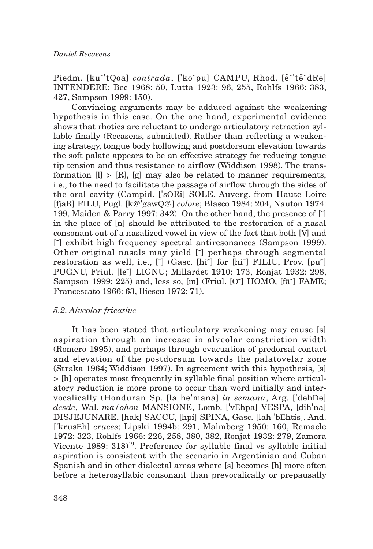Piedm. [ku<sup>~'</sup>tQoa] *contrada*, ['ko~pu] CAMPU, Rhod. [ẽ<sup>~'</sup>tẽ~dRe] INTENDERE; Bec 1968: 50, Lutta 1923: 96, 255, Rohlfs 1966: 383, 427, Sampson 1999: 150).

Convincing arguments may be adduced against the weakening hypothesis in this case. On the one hand, experimental evidence shows that rhotics are reluctant to undergo articulatory retraction syllable finally (Recasens, submitted). Rather than reflecting a weakening strategy, tongue body hollowing and postdorsum elevation towards the soft palate appears to be an effective strategy for reducing tongue tip tension and thus resistance to airflow (Widdison 1998). The transformation  $[1] > [R]$ ,  $[g]$  may also be related to manner requirements, i.e., to the need to facilitate the passage of airflow through the sides of the oral cavity (Campid. ['sORi] SOLE, Auverg. from Haute Loire [fjaR] FILU, Pugl. [k@'gawQ@] *colore*; Blasco 1984: 204, Nauton 1974: 199, Maiden & Parry 1997: 342). On the other hand, the presence of [˜] in the place of [n] should be attributed to the restoration of a nasal consonant out of a nasalized vowel in view of the fact that both  $[\tilde{V}]$  and [~] exhibit high frequency spectral antiresonances (Sampson 1999). Other original nasals may yield [˜] perhaps through segmental restoration as well, i.e.,  $\lceil \cdot \rceil$  (Gasc. [hi<sup>-</sup>] for [hi<sup>-</sup>] FILIU, Prov. [pu<sup>-</sup>] PUGNU, Friul. [le˜] LIGNU; Millardet 1910: 173, Ronjat 1932: 298, Sampson 1999: 225) and, less so, [m] (Friul. [O<sup> $\cdot$ </sup>] HOMO, [f $\tilde{a}$ <sup>-</sup>] FAME; Francescato 1966: 63, Iliescu 1972: 71).

## *5.2. Alveolar fricative*

It has been stated that articulatory weakening may cause [s] aspiration through an increase in alveolar constriction width (Romero 1995), and perhaps through evacuation of predorsal contact and elevation of the postdorsum towards the palatovelar zone (Straka 1964; Widdison 1997). In agreement with this hypothesis, [s] > [h] operates most frequently in syllable final position where articulatory reduction is more prone to occur than word initially and intervocalically (Honduran Sp. [la he'mana] *la semana*, Arg. ['dehDe] *desde*, Wal. *ma/ohon* MANSIONE, Lomb. ['vEhpa] VESPA, [dih'na] DISJEJUNARE, [hak] SACCU, [hpi] SPINA, Gasc. [lah 'bEhtis], And. ['krusEh] *cruces*; Lipski 1994b: 291, Malmberg 1950: 160, Remacle 1972: 323, Rohlfs 1966: 226, 258, 380, 382, Ronjat 1932: 279, Zamora Vicente 1989: 318)<sup>19</sup>. Preference for syllable final vs syllable initial aspiration is consistent with the scenario in Argentinian and Cuban Spanish and in other dialectal areas where [s] becomes [h] more often before a heterosyllabic consonant than prevocalically or prepausally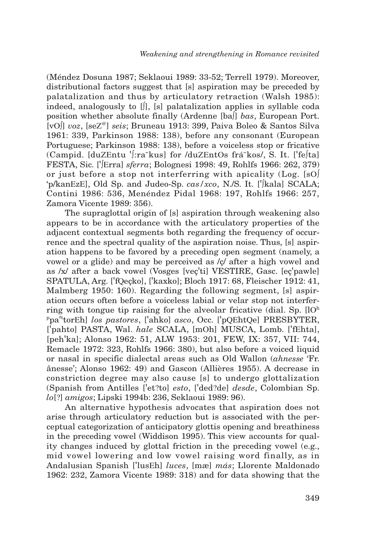(Méndez Dosuna 1987; Seklaoui 1989: 33-52; Terrell 1979). Moreover, distributional factors suggest that [s] aspiration may be preceded by palatalization and thus by articulatory retraction (Walsh 1985): indeed, analogously to [∫], [s] palatalization applies in syllable coda position whether absolute finally (Ardenne [ba∫] *bas*, European Port. [vO∫] *voz*, [seZ@] *seis*; Bruneau 1913: 399, Paiva Boleo & Santos Silva 1961: 339, Parkinson 1988: 138), before any consonant (European Portuguese; Parkinson 1988: 138), before a voiceless stop or fricative (Campid. [duZEntu '∫:ra˜kus] for /duZEntOs frá˜kos/, S. It. ['fe∫ta] FESTA, Sic. ['∫Erra] *sferra*; Bolognesi 1998: 49, Rohlfs 1966: 262, 379) or just before a stop not interferring with apicality (Log. [sO∫ 'p/kanEzE], Old Sp. and Judeo-Sp. *cas/xco*, N./S. It. ['∫kala] SCALA; Contini 1986: 536, Menéndez Pidal 1968: 197, Rohlfs 1966: 257, Zamora Vicente 1989: 356).

The supraglottal origin of [s] aspiration through weakening also appears to be in accordance with the articulatory properties of the adjacent contextual segments both regarding the frequency of occurrence and the spectral quality of the aspiration noise. Thus, [s] aspiration happens to be favored by a preceding open segment (namely, a vowel or a glide) and may be perceived as /ç/ after a high vowel and as /x/ after a back vowel (Vosges [veç'ti] VESTIRE, Gasc. [eç'pawle] SPATULA, Arg. ['fQeçko], ['kaxko]; Bloch 1917: 68, Fleischer 1912: 41, Malmberg 1950: 160). Regarding the following segment, [s] aspiration occurs often before a voiceless labial or velar stop not interferring with tongue tip raising for the alveolar fricative (dial. Sp.  $[10<sup>h</sup>]$ p pa' t torEh] *los pastores*, ['ahko] *asco*, Occ. ['pQEhtQe] PRESBYTER, ['pahto] PASTA, Wal. *hale* SCALA, [mOh] MUSCA, Lomb. ['fEhta], [peh'ka]; Alonso 1962: 51, ALW 1953: 201, FEW, IX: 357, VII: 744, Remacle 1972: 323, Rohlfs 1966: 380), but also before a voiced liquid or nasal in specific dialectal areas such as Old Wallon (*ahnesse* 'Fr. ânesse'; Alonso 1962: 49) and Gascon (Allières 1955). A decrease in constriction degree may also cause [s] to undergo glottalization (Spanish from Antilles ['et?to] *esto*, ['ded?de] *desde*, Colombian Sp. *lo*[?] *amigos*; Lipski 1994b: 236, Seklaoui 1989: 96).

An alternative hypothesis advocates that aspiration does not arise through articulatory reduction but is associated with the perceptual categorization of anticipatory glottis opening and breathiness in the preceding vowel (Widdison 1995). This view accounts for quality changes induced by glottal friction in the preceding vowel (e.g., mid vowel lowering and low vowel raising word finally, as in Andalusian Spanish ['lusEh] *luces*, [mæ] *más*; Llorente Maldonado 1962: 232, Zamora Vicente 1989: 318) and for data showing that the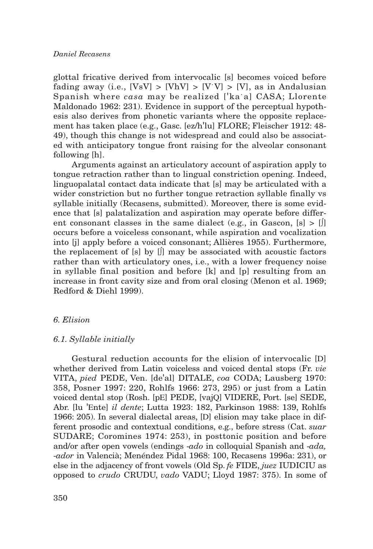glottal fricative derived from intervocalic [s] becomes voiced before fading away (i.e.,  $[VsV] > [VhV] > [VV] > [V]$ , as in Andalusian Spanish where *casa* may be realized ['ka˙a] CASA; Llorente Maldonado 1962: 231). Evidence in support of the perceptual hypothesis also derives from phonetic variants where the opposite replacement has taken place (e.g., Gasc. [ez/h'lu] FLORE; Fleischer 1912: 48- 49), though this change is not widespread and could also be associated with anticipatory tongue front raising for the alveolar consonant following [h].

Arguments against an articulatory account of aspiration apply to tongue retraction rather than to lingual constriction opening. Indeed, linguopalatal contact data indicate that [s] may be articulated with a wider constriction but no further tongue retraction syllable finally vs syllable initially (Recasens, submitted). Moreover, there is some evidence that [s] palatalization and aspiration may operate before different consonant classes in the same dialect (e.g., in Gascon,  $[s] > [f]$ occurs before a voiceless consonant, while aspiration and vocalization into [j] apply before a voiced consonant; Allières 1955). Furthermore, the replacement of  $[s]$  by  $[]$  may be associated with acoustic factors rather than with articulatory ones, i.e., with a lower frequency noise in syllable final position and before [k] and [p] resulting from an increase in front cavity size and from oral closing (Menon et al. 1969; Redford & Diehl 1999).

## *6. Elision*

#### *6.1. Syllable initially*

Gestural reduction accounts for the elision of intervocalic [D] whether derived from Latin voiceless and voiced dental stops (Fr. *vie* VITA, *pied* PEDE, Ven. [de'al] DITALE, *coa* CODA; Lausberg 1970: 358, Posner 1997: 220, Rohlfs 1966: 273, 295) or just from a Latin voiced dental stop (Rosh. [pE] PEDE, [vajQ] VIDERE, Port. [se] SEDE, Abr. [lu 'Ente] *il dente*; Lutta 1923: 182, Parkinson 1988: 139, Rohlfs 1966: 205). In several dialectal areas, [D] elision may take place in different prosodic and contextual conditions, e.g., before stress (Cat. *suar* SUDARE; Coromines 1974: 253), in posttonic position and before and/or after open vowels (endings -*ado* in colloquial Spanish and -*ada,* -*ador* in Valencià; Menéndez Pidal 1968: 100, Recasens 1996a: 231), or else in the adjacency of front vowels (Old Sp. *fe* FIDE, *juez* IUDICIU as opposed to *crudo* CRUDU, *vado* VADU; Lloyd 1987: 375). In some of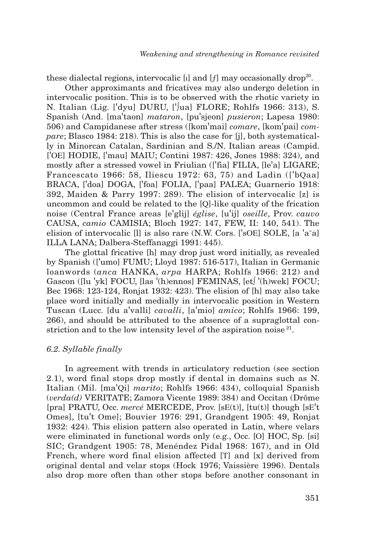these dialectal regions, intervocalic [i] and [f] may occasionally drop<sup>20</sup>.

Other approximants and fricatives may also undergo deletion in intervocalic position. This is to be observed with the rhotic variety in N. Italian (Lig. ['dyu] DURU, ['∫ua] FLORE; Rohlfs 1966: 313), S. Spanish (And. [ma'taon] *mataron*, [pu'sjeon] *pusieron*; Lapesa 1980: 506) and Campidanese after stress ([kom'mai] *comare*, [kom'pai] *compare*; Blasco 1984: 218). This is also the case for [j], both systematically in Minorcan Catalan, Sardinian and S./N. Italian areas (Campid. ['OE] HODIE, ['mau] MAIU; Contini 1987: 426, Jones 1988: 324), and mostly after a stressed vowel in Friulian (['fia] FILIA, [le'a] LIGARE; Francescato 1966: 58, Iliescu 1972: 63, 75) and Ladin (['bQaa] BRACA, ['doa] DOGA, ['foa] FOLIA, ['paa] PALEA; Guarnerio 1918: 392, Maiden & Parry 1997: 289). The elision of intervocalic [z] is uncommon and could be related to the [Q]-like quality of the frication noise (Central France areas [e'glij] *église*, [u'ij] *oseille*, Prov. *cauvo* CAUSA, *camio* CAMISIA; Bloch 1927: 147, FEW, II: 140, 541). The elision of intervocalic [l] is also rare (N.W. Cors. ['sOE] SOLE, [a 'a˜a] ILLA LANA; Dalbera-Steffanaggi 1991: 445).

The glottal fricative [h] may drop just word initially, as revealed by Spanish (['umo] FUMU; Lloyd 1987: 516-517), Italian in Germanic loanwords (*anca* HANKA, *arpa* HARPA; Rohlfs 1966: 212) and Gascon ([lu 'yk] FOCU, [las '(h)ennos] FEMINAS, [et∫ '(h)wek] FOCU; Bec 1968: 123-124, Ronjat 1932: 423). The elision of [h] may also take place word initially and medially in intervocalic position in Western Tuscan (Lucc. [du a'valli] *cavalli*, [a'mio] *amico*; Rohlfs 1966: 199, 266), and should be attributed to the absence of a supraglottal constriction and to the low intensity level of the aspiration noise  $21$ .

#### *6.2. Syllable finally*

In agreement with trends in articulatory reduction (see section 2.1), word final stops drop mostly if dental in domains such as N. Italian (Mil. [ma'Qi] *marito*; Rohlfs 1966: 434), colloquial Spanish (*verda(d)* VERITATE; Zamora Vicente 1989: 384) and Occitan (Drôme [pra] PRATU, Occ. *mercé* MERCEDE, Prov. [sE(t)], [tu(t)] though [sE't Omes], [tu't Ome]; Bouvier 1976: 291, Grandgent 1905: 49, Ronjat 1932: 424). This elision pattern also operated in Latin, where velars were eliminated in functional words only (e.g., Occ. [O] HOC, Sp. [si] SIC; Grandgent 1905: 78, Menéndez Pidal 1968: 167), and in Old French, where word final elision affected [T] and [x] derived from original dental and velar stops (Hock 1976; Vaissière 1996). Dentals also drop more often than other stops before another consonant in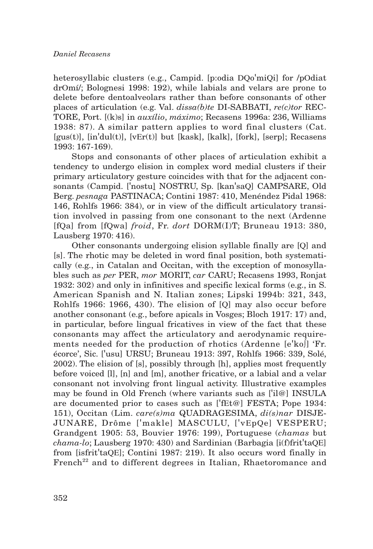heterosyllabic clusters (e.g., Campid. [p:odia DQo'miQi] for /pOdiat drOmí/; Bolognesi 1998: 192), while labials and velars are prone to delete before dentoalveolars rather than before consonants of other places of articulation (e.g. Val. *dissa(b)te* DI-SABBATI, *re(c)tor* REC-TORE, Port. [(k)s] in *auxílio*, *máximo*; Recasens 1996a: 236, Williams 1938: 87). A similar pattern applies to word final clusters (Cat.  $[gus(t)]$ ,  $[in'dul(t)]$ ,  $[vEr(t)]$  but  $[kask]$ ,  $[kalk]$ ,  $[fork]$ ,  $[serp]$ ; Recasens 1993: 167-169).

Stops and consonants of other places of articulation exhibit a tendency to undergo elision in complex word medial clusters if their primary articulatory gesture coincides with that for the adjacent consonants (Campid. ['nostu] NOSTRU, Sp. [kan'saQ] CAMPSARE, Old Berg. *pesnaga* PASTINACA; Contini 1987: 410, Menéndez Pidal 1968: 146, Rohlfs 1966: 384), or in view of the difficult articulatory transition involved in passing from one consonant to the next (Ardenne [fQa] from [fQwa] *froid*, Fr. *dort* DORM(I)T; Bruneau 1913: 380, Lausberg 1970: 416).

Other consonants undergoing elision syllable finally are [Q] and [s]. The rhotic may be deleted in word final position, both systematically (e.g., in Catalan and Occitan, with the exception of monosyllables such as *per* PER, *mor* MORIT, *car* CARU; Recasens 1993, Ronjat 1932: 302) and only in infinitives and specific lexical forms (e.g., in S. American Spanish and N. Italian zones; Lipski 1994b: 321, 343, Rohlfs 1966: 1966, 430). The elision of [Q] may also occur before another consonant (e.g., before apicals in Vosges; Bloch 1917: 17) and, in particular, before lingual fricatives in view of the fact that these consonants may affect the articulatory and aerodynamic requirements needed for the production of rhotics (Ardenne [e'ko∫] 'Fr. écorce', Sic. ['usu] URSU; Bruneau 1913: 397, Rohlfs 1966: 339, Solé, 2002). The elision of [s], possibly through [h], applies most frequently before voiced [l], [n] and [m], another fricative, or a labial and a velar consonant not involving front lingual activity. Illustrative examples may be found in Old French (where variants such as ['il@] INSULA are documented prior to cases such as ['fEt@] FESTA; Pope 1934: 151), Occitan (Lim. *care(s)ma* QUADRAGESIMA, *di(s)nar* DISJE-JUNARE, Drôme ['makle] MASCULU, ['vEpQe] VESPERU; Grandgent 1905: 53, Bouvier 1976: 199), Portuguese (*chamas* but *chama-lo*; Lausberg 1970: 430) and Sardinian (Barbagia [i(f)frit'taQE] from [isfrit'taQE]; Contini 1987: 219). It also occurs word finally in French<sup>22</sup> and to different degrees in Italian, Rhaetoromance and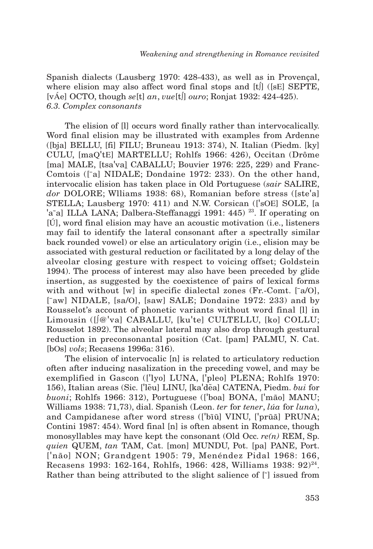Spanish dialects (Lausberg 1970: 428-433), as well as in Provençal, where elision may also affect word final stops and [t∫] ([sE] SEPTE, [vÁe] OCTO, though *se*[t] *an*, *vue*[t∫] *ouro*; Ronjat 1932: 424-425). *6.3. Complex consonants*

The elision of [l] occurs word finally rather than intervocalically. Word final elision may be illustrated with examples from Ardenne ([bja] BELLU, [fi] FILU; Bruneau 1913: 374), N. Italian (Piedm. [ky] CULU, [maQ'tE] MARTELLU; Rohlfs 1966: 426), Occitan (Drôme [ma] MALE, [tsa'va] CABALLU; Bouvier 1976: 225, 229) and Franc-Comtois ([¯a] NIDALE; Dondaine 1972: 233). On the other hand, intervocalic elision has taken place in Old Portuguese (*sair* SALIRE, *dor* DOLORE; Wlliams 1938: 68), Romanian before stress ([ste'a] STELLA; Lausberg 1970: 411) and N.W. Corsican (['sOE] SOLE, [a 'a~a] ILLA LANA; Dalbera-Steffanaggi 1991: 445)<sup>23</sup>. If operating on [Ú], word final elision may have an acoustic motivation (i.e., listeners may fail to identify the lateral consonant after a spectrally similar back rounded vowel) or else an articulatory origin (i.e., elision may be associated with gestural reduction or facilitated by a long delay of the alveolar closing gesture with respect to voicing offset; Goldstein 1994). The process of interest may also have been preceded by glide insertion, as suggested by the coexistence of pairs of lexical forms with and without  $[w]$  in specific dialectal zones  $(Fr$ -Comt.  $\lceil a/O \rceil$ , [<sup>-</sup>aw] NIDALE, [sa/O], [saw] SALE; Dondaine 1972: 233) and by Rousselot's account of phonetic variants without word final [l] in Limousin ([∫@'va] CABALLU, [ku'te] CULTELLU, [ko] COLLU; Rousselot 1892). The alveolar lateral may also drop through gestural reduction in preconsonantal position (Cat. [pam] PALMU, N. Cat. [bOs] *vols*; Recasens 1996a: 316).

The elision of intervocalic [n] is related to articulatory reduction often after inducing nasalization in the preceding vowel, and may be exemplified in Gascon (['lyo] LUNA, ['pleo] PLENA; Rohlfs 1970: 156), Italian areas (Sic. ['lẽu] LINU, [ka'dẽa] CATENA, Piedm. *bui* for *buoni*; Rohlfs 1966: 312), Portuguese (['boa] BONA, ['mão] MANU; Williams 1938: 71,73), dial. Spanish (Leon. *ter* for *tener*, *lúa* for *luna*), and Campidanese after word stress (['bĩŭ] VINU, ['prũã] PRUNA; Contini 1987: 454). Word final [n] is often absent in Romance, though monosyllables may have kept the consonant (Old Occ. *re(n)* REM, Sp. *quien* QUEM, *tan* TAM, Cat. [mon] MUNDU, Pot. [pa] PANE, Port. ['não] NON; Grandgent 1905: 79, Menéndez Pidal 1968: 166, Recasens 1993: 162-164, Rohlfs, 1966: 428, Williams 1938: 92 $^{24}$ . Rather than being attributed to the slight salience of [ $\tilde{\ }$ ] issued from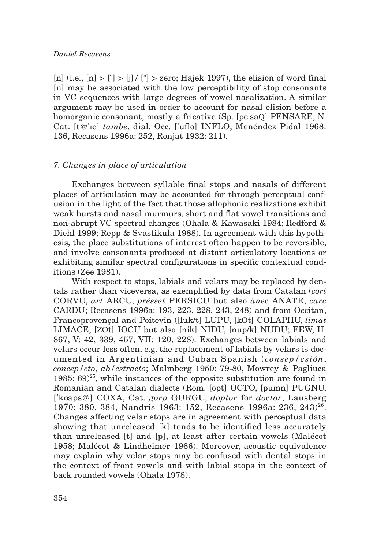## *Daniel Recasens*

[n] (i.e.,  $[n] > [7] > [j] / [n] >$  zero; Hajek 1997), the elision of word final [n] may be associated with the low perceptibility of stop consonants in VC sequences with large degrees of vowel nasalization. A similar argument may be used in order to account for nasal elision before a homorganic consonant, mostly a fricative (Sp. [pe'saQ] PENSARE, N. Cat. [t@'ıe] *també*, dial. Occ. ['uflo] INFLO; Menéndez Pidal 1968: 136, Recasens 1996a: 252, Ronjat 1932: 211).

## *7. Changes in place of articulation*

Exchanges between syllable final stops and nasals of different places of articulation may be accounted for through perceptual confusion in the light of the fact that those allophonic realizations exhibit weak bursts and nasal murmurs, short and flat vowel transitions and non-abrupt VC spectral changes (Ohala & Kawasaki 1984; Redford & Diehl 1999; Repp & Svastikula 1988). In agreement with this hypothesis, the place substitutions of interest often happen to be reversible, and involve consonants produced at distant articulatory locations or exhibiting similar spectral configurations in specific contextual conditions (Zee 1981).

With respect to stops, labials and velars may be replaced by dentals rather than viceversa, as exemplified by data from Catalan (*cort* CORVU, *art* ARCU, *présset* PERSICU but also *ànec* ANATE, *carc* CARDU; Recasens 1996a: 193, 223, 228, 243, 248) and from Occitan, Francoprovençal and Poitevin ([luk/t] LUPU, [kOt] COLAPHU, *limat* LIMACE, [ZOt] IOCU but also [nik] NIDU, [nup/k] NUDU; FEW, II: 867, V: 42, 339, 457, VII: 120, 228). Exchanges between labials and velars occur less often, e.g. the replacement of labials by velars is documented in Argentinian and Cuban Spanish (*consep/csión*, *concep/cto*, *ab/cstracto*; Malmberg 1950: 79-80, Mowrey & Pagliuca 1985:  $69^{25}$ , while instances of the opposite substitution are found in Romanian and Catalan dialects (Rom. [opt] OCTO, [pumn] PUGNU, ['ko aps@] COXA, Cat. *gorp* GURGU, *doptor* for *doctor*; Lausberg 1970: 380, 384, Nandris 1963: 152, Recasens 1996a: 236, 243)<sup>26</sup>. Changes affecting velar stops are in agreement with perceptual data showing that unreleased [k] tends to be identified less accurately than unreleased [t] and [p], at least after certain vowels (Malécot 1958; Malécot & Lindheimer 1966). Moreover, acoustic equivalence may explain why velar stops may be confused with dental stops in the context of front vowels and with labial stops in the context of back rounded vowels (Ohala 1978).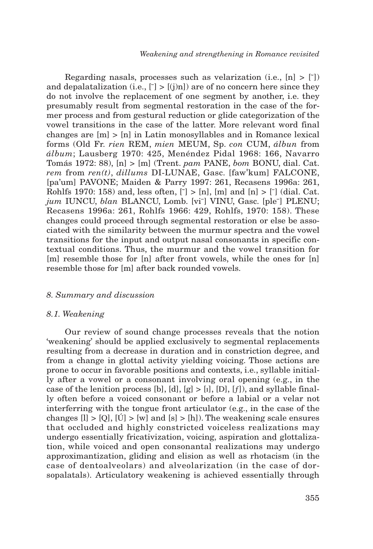Regarding nasals, processes such as velarization (i.e.,  $[n] > [7]$ ) and depalatalization (i.e.,  $\lceil \cdot \rceil$  >  $\lceil \cdot \rceil$ ) are of no concern here since they do not involve the replacement of one segment by another, i.e. they presumably result from segmental restoration in the case of the former process and from gestural reduction or glide categorization of the vowel transitions in the case of the latter. More relevant word final changes are  $[m] > [n]$  in Latin monosyllables and in Romance lexical forms (Old Fr. *rien* REM, *mien* MEUM, Sp. *con* CUM, *álbun* from *álbum*; Lausberg 1970: 425, Menéndez Pidal 1968: 166, Navarro Tomás 1972: 88), [n] > [m] (Trent. *pam* PANE, *bom* BONU, dial. Cat. *rem* from *ren(t)*, *dillums* DI-LUNAE, Gasc. [faw'kum] FALCONE, [pa'um] PAVONE; Maiden & Parry 1997: 261, Recasens 1996a: 261, Rohlfs 1970: 158) and, less often,  $\lceil \cdot \rceil$  >  $\lceil n \rceil$ ,  $\lceil m \rceil$  and  $\lceil n \rceil$  >  $\lceil \cdot \rceil$  (dial. Cat. *jum* IUNCU, *blan* BLANCU, Lomb. [vi<sup>-</sup>] VINU, Gasc. [ple<sup>-</sup>] PLENU; Recasens 1996a: 261, Rohlfs 1966: 429, Rohlfs, 1970: 158). These changes could proceed through segmental restoration or else be associated with the similarity between the murmur spectra and the vowel transitions for the input and output nasal consonants in specific contextual conditions. Thus, the murmur and the vowel transition for [m] resemble those for [n] after front vowels, while the ones for [n] resemble those for [m] after back rounded vowels.

#### *8. Summary and discussion*

#### *8.1. Weakening*

Our review of sound change processes reveals that the notion 'weakening' should be applied exclusively to segmental replacements resulting from a decrease in duration and in constriction degree, and from a change in glottal activity yielding voicing. Those actions are prone to occur in favorable positions and contexts, i.e., syllable initially after a vowel or a consonant involving oral opening (e.g., in the case of the lenition process [b], [d],  $[g] > [1]$ , [D], [f]), and syllable finally often before a voiced consonant or before a labial or a velar not interferring with the tongue front articulator (e.g., in the case of the changes  $[l] > [Q]$ ,  $[\dot{U}] > [w]$  and  $[s] > [h]$ ). The weakening scale ensures that occluded and highly constricted voiceless realizations may undergo essentially fricativization, voicing, aspiration and glottalization, while voiced and open consonantal realizations may undergo approximantization, gliding and elision as well as rhotacism (in the case of dentoalveolars) and alveolarization (in the case of dorsopalatals). Articulatory weakening is achieved essentially through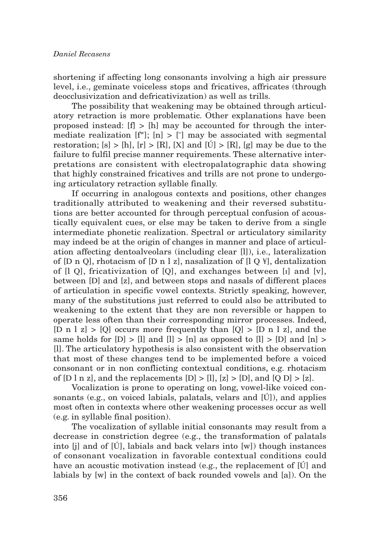shortening if affecting long consonants involving a high air pressure level, i.e., geminate voiceless stops and fricatives, affricates (through deocclusivization and defricativization) as well as trills.

The possibility that weakening may be obtained through articulatory retraction is more problematic. Other explanations have been proposed instead:  $[f] > [h]$  may be accounted for through the intermediate realization  $[f^w]$ ;  $[n] > [^{\sim}]$  may be associated with segmental restoration;  $[s] > [h]$ ,  $[r] > [R]$ ,  $[X]$  and  $[\tilde{U}] > [R]$ ,  $[g]$  may be due to the failure to fulfil precise manner requirements. These alternative interpretations are consistent with electropalatographic data showing that highly constrained fricatives and trills are not prone to undergoing articulatory retraction syllable finally.

If occurring in analogous contexts and positions, other changes traditionally attributed to weakening and their reversed substitutions are better accounted for through perceptual confusion of acoustically equivalent cues, or else may be taken to derive from a single intermediate phonetic realization. Spectral or articulatory similarity may indeed be at the origin of changes in manner and place of articulation affecting dentoalveolars (including clear [l]), i.e., lateralization of [D n Q], rhotacism of [D n l z], nasalization of [l Q ¥], dentalization of [l Q], fricativization of [Q], and exchanges between [ı] and [v], between [D] and [z], and between stops and nasals of different places of articulation in specific vowel contexts. Strictly speaking, however, many of the substitutions just referred to could also be attributed to weakening to the extent that they are non reversible or happen to operate less often than their corresponding mirror processes. Indeed, [D n l z] > [O] occurs more frequently than  $[0]$  > [D n l z], and the same holds for  $[D] > [1]$  and  $[1] > [n]$  as opposed to  $[1] > [D]$  and  $[n] >$ [l]. The articulatory hypothesis is also consistent with the observation that most of these changes tend to be implemented before a voiced consonant or in non conflicting contextual conditions, e.g. rhotacism of  $[D \mid n z]$ , and the replacements  $[D] > [l], [z] > [D]$ , and  $[Q \mid D] > [z]$ .

Vocalization is prone to operating on long, vowel-like voiced consonants (e.g., on voiced labials, palatals, velars and [Ú]), and applies most often in contexts where other weakening processes occur as well (e.g. in syllable final position).

The vocalization of syllable initial consonants may result from a decrease in constriction degree (e.g., the transformation of palatals into  $[i]$  and of  $[i]$ , labials and back velars into  $[w]$ ) though instances of consonant vocalization in favorable contextual conditions could have an acoustic motivation instead (e.g., the replacement of [Ú] and labials by [w] in the context of back rounded vowels and [a]). On the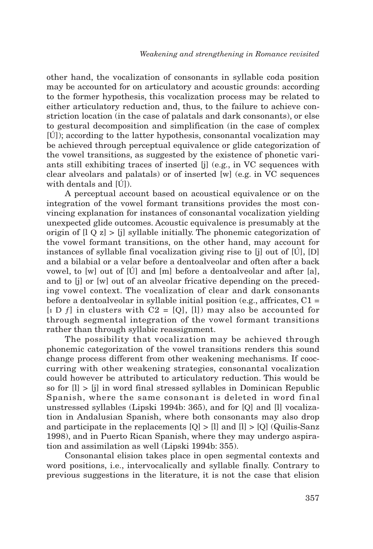other hand, the vocalization of consonants in syllable coda position may be accounted for on articulatory and acoustic grounds: according to the former hypothesis, this vocalization process may be related to either articulatory reduction and, thus, to the failure to achieve constriction location (in the case of palatals and dark consonants), or else to gestural decomposition and simplification (in the case of complex  $[**U**]$ ; according to the latter hypothesis, consonantal vocalization may be achieved through perceptual equivalence or glide categorization of the vowel transitions, as suggested by the existence of phonetic variants still exhibiting traces of inserted [j] (e.g., in VC sequences with clear alveolars and palatals) or of inserted [w] (e.g. in VC sequences with dentals and [Ú]).

A perceptual account based on acoustical equivalence or on the integration of the vowel formant transitions provides the most convincing explanation for instances of consonantal vocalization yielding unexpected glide outcomes. Acoustic equivalence is presumably at the origin of  $[1 \ Q \ z]$  >  $[i]$  syllable initially. The phonemic categorization of the vowel formant transitions, on the other hand, may account for instances of syllable final vocalization giving rise to [j] out of [Ú], [D] and a bilabial or a velar before a dentoalveolar and often after a back vowel, to [w] out of [Ú] and [m] before a dentoalveolar and after [a], and to [j] or [w] out of an alveolar fricative depending on the preceding vowel context. The vocalization of clear and dark consonants before a dentoalveolar in syllable initial position (e.g., affricates,  $C1 =$  $[1 D f]$  in clusters with  $C2 = [Q], [1]$  may also be accounted for through segmental integration of the vowel formant transitions rather than through syllabic reassignment.

The possibility that vocalization may be achieved through phonemic categorization of the vowel transitions renders this sound change process different from other weakening mechanisms. If cooccurring with other weakening strategies, consonantal vocalization could however be attributed to articulatory reduction. This would be so for [l] > [j] in word final stressed syllables in Dominican Republic Spanish, where the same consonant is deleted in word final unstressed syllables (Lipski 1994b: 365), and for [Q] and [l] vocalization in Andalusian Spanish, where both consonants may also drop and participate in the replacements  $[Q] > [1]$  and  $[1] > [Q]$  (Quilis-Sanz 1998), and in Puerto Rican Spanish, where they may undergo aspiration and assimilation as well (Lipski 1994b: 355).

Consonantal elision takes place in open segmental contexts and word positions, i.e., intervocalically and syllable finally. Contrary to previous suggestions in the literature, it is not the case that elision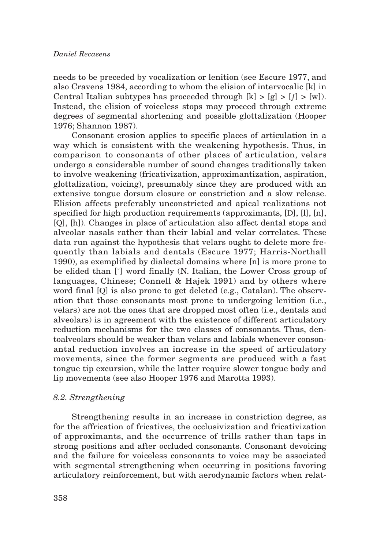needs to be preceded by vocalization or lenition (see Escure 1977, and also Cravens 1984, according to whom the elision of intervocalic [k] in Central Italian subtypes has proceeded through  $[k] > [g] > [f] > [w]$ . Instead, the elision of voiceless stops may proceed through extreme degrees of segmental shortening and possible glottalization (Hooper 1976; Shannon 1987).

Consonant erosion applies to specific places of articulation in a way which is consistent with the weakening hypothesis. Thus, in comparison to consonants of other places of articulation, velars undergo a considerable number of sound changes traditionally taken to involve weakening (fricativization, approximantization, aspiration, glottalization, voicing), presumably since they are produced with an extensive tongue dorsum closure or constriction and a slow release. Elision affects preferably unconstricted and apical realizations not specified for high production requirements (approximants, [D], [l], [n], [Q], [h]). Changes in place of articulation also affect dental stops and alveolar nasals rather than their labial and velar correlates. These data run against the hypothesis that velars ought to delete more frequently than labials and dentals (Escure 1977; Harris-Northall 1990), as exemplified by dialectal domains where [n] is more prone to be elided than  $\lceil \cdot \rceil$  word finally (N. Italian, the Lower Cross group of languages, Chinese; Connell & Hajek 1991) and by others where word final [Q] is also prone to get deleted (e.g., Catalan). The observation that those consonants most prone to undergoing lenition (i.e., velars) are not the ones that are dropped most often (i.e., dentals and alveolars) is in agreement with the existence of different articulatory reduction mechanisms for the two classes of consonants. Thus, dentoalveolars should be weaker than velars and labials whenever consonantal reduction involves an increase in the speed of articulatory movements, since the former segments are produced with a fast tongue tip excursion, while the latter require slower tongue body and lip movements (see also Hooper 1976 and Marotta 1993).

## *8.2. Strengthening*

Strengthening results in an increase in constriction degree, as for the affrication of fricatives, the occlusivization and fricativization of approximants, and the occurrence of trills rather than taps in strong positions and after occluded consonants. Consonant devoicing and the failure for voiceless consonants to voice may be associated with segmental strengthening when occurring in positions favoring articulatory reinforcement, but with aerodynamic factors when relat-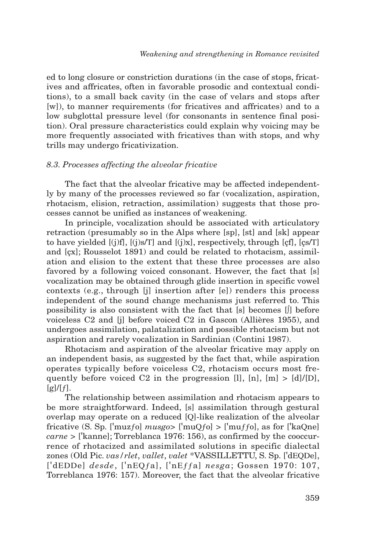ed to long closure or constriction durations (in the case of stops, fricatives and affricates, often in favorable prosodic and contextual conditions), to a small back cavity (in the case of velars and stops after [w]), to manner requirements (for fricatives and affricates) and to a low subglottal pressure level (for consonants in sentence final position). Oral pressure characteristics could explain why voicing may be more frequently associated with fricatives than with stops, and why trills may undergo fricativization.

## *8.3. Processes affecting the alveolar fricative*

The fact that the alveolar fricative may be affected independently by many of the processes reviewed so far (vocalization, aspiration, rhotacism, elision, retraction, assimilation) suggests that those processes cannot be unified as instances of weakening.

In principle, vocalization should be associated with articulatory retraction (presumably so in the Alps where [sp], [st] and [sk] appear to have yielded  $[(j)f], [(j)s/T]$  and  $[(j)x]$ , respectively, through  $[cf], [cs/T]$ and [çx]; Rousselot 1891) and could be related to rhotacism, assimilation and elision to the extent that these three processes are also favored by a following voiced consonant. However, the fact that [s] vocalization may be obtained through glide insertion in specific vowel contexts (e.g., through [j] insertion after [e]) renders this process independent of the sound change mechanisms just referred to. This possibility is also consistent with the fact that [s] becomes [∫] before voiceless C2 and [j] before voiced C2 in Gascon (Allières 1955), and undergoes assimilation, palatalization and possible rhotacism but not aspiration and rarely vocalization in Sardinian (Contini 1987).

Rhotacism and aspiration of the alveolar fricative may apply on an independent basis, as suggested by the fact that, while aspiration operates typically before voiceless C2, rhotacism occurs most frequently before voiced C2 in the progression [l],  $[n]$ ,  $[m] > [d]/[D]$ ,  $\lceil \frac{g}{f} \rceil$ .

The relationship between assimilation and rhotacism appears to be more straightforward. Indeed, [s] assimilation through gestural overlap may operate on a reduced [Q]-like realization of the alveolar fricative (S. Sp. ['muzƒo] *musgo*> ['muQƒo] > ['muƒƒo], as for ['kaQne] *carne* > ['kanne]; Torreblanca 1976: 156), as confirmed by the cooccurrence of rhotacized and assimilated solutions in specific dialectal zones (Old Pic. *vas/rlet*, *vallet*, *valet* \*VASSILLETTU, S. Sp. ['dEQDe], ['dEDDe] *desde*, ['nEQƒa], ['nEƒƒa] *nesga*; Gossen 1970: 107, Torreblanca 1976: 157). Moreover, the fact that the alveolar fricative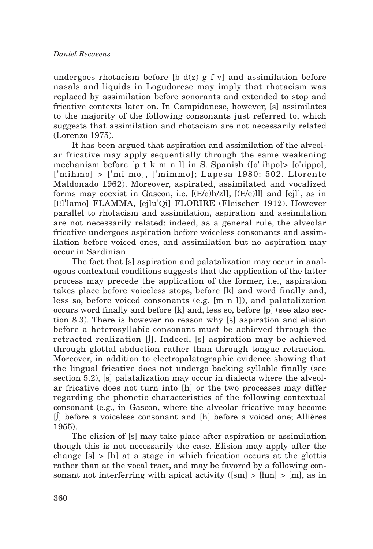undergoes rhotacism before  $\left[\frac{b \, d(z) \, g \, f \, v\right]$  and assimilation before nasals and liquids in Logudorese may imply that rhotacism was replaced by assimilation before sonorants and extended to stop and fricative contexts later on. In Campidanese, however, [s] assimilates to the majority of the following consonants just referred to, which suggests that assimilation and rhotacism are not necessarily related (Lorenzo 1975).

It has been argued that aspiration and assimilation of the alveolar fricative may apply sequentially through the same weakening mechanism before  $[p \, t \, k \, m \, n]$  in S. Spanish  $([o'iippo] \cdot [o'iippo]$ , ['mihmo] > ['mi¯mo], ['mimmo]; Lapesa 1980: 502, Llorente Maldonado 1962). Moreover, aspirated, assimilated and vocalized forms may coexist in Gascon, i.e. [(E/e)h/zl], [(E/e)ll] and [ejl], as in [El'lamo] FLAMMA, [ejlu'Qi] FLORIRE (Fleischer 1912). However parallel to rhotacism and assimilation, aspiration and assimilation are not necessarily related: indeed, as a general rule, the alveolar fricative undergoes aspiration before voiceless consonants and assimilation before voiced ones, and assimilation but no aspiration may occur in Sardinian.

The fact that [s] aspiration and palatalization may occur in analogous contextual conditions suggests that the application of the latter process may precede the application of the former, i.e., aspiration takes place before voiceless stops, before [k] and word finally and, less so, before voiced consonants (e.g. [m n l]), and palatalization occurs word finally and before [k] and, less so, before [p] (see also section 8.3). There is however no reason why [s] aspiration and elision before a heterosyllabic consonant must be achieved through the retracted realization [∫]. Indeed, [s] aspiration may be achieved through glottal abduction rather than through tongue retraction. Moreover, in addition to electropalatographic evidence showing that the lingual fricative does not undergo backing syllable finally (see section 5.2), [s] palatalization may occur in dialects where the alveolar fricative does not turn into [h] or the two processes may differ regarding the phonetic characteristics of the following contextual consonant (e.g., in Gascon, where the alveolar fricative may become [∫] before a voiceless consonant and [h] before a voiced one; Allières 1955).

The elision of [s] may take place after aspiration or assimilation though this is not necessarily the case. Elision may apply after the change  $[s] > [h]$  at a stage in which frication occurs at the glottis rather than at the vocal tract, and may be favored by a following consonant not interferring with apical activity  $(\text{5m}) > \text{[hm]} > \text{[m]}$ , as in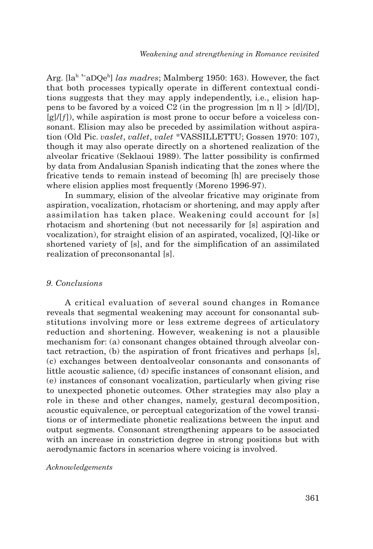Arg. [la<sup>h ı–</sup>aDQe<sup>h</sup>] *las madres*; Malmberg 1950: 163). However, the fact that both processes typically operate in different contextual conditions suggests that they may apply independently, i.e., elision happens to be favored by a voiced C2 (in the progression  $[m n l] > [d]/[D]$ ,  $[g]/[f]$ , while aspiration is most prone to occur before a voiceless consonant. Elision may also be preceded by assimilation without aspiration (Old Pic. *vaslet*, *vallet*, *valet* \*VASSILLETTU; Gossen 1970: 107), though it may also operate directly on a shortened realization of the alveolar fricative (Seklaoui 1989). The latter possibility is confirmed by data from Andalusian Spanish indicating that the zones where the fricative tends to remain instead of becoming [h] are precisely those where elision applies most frequently (Moreno 1996-97).

In summary, elision of the alveolar fricative may originate from aspiration, vocalization, rhotacism or shortening, and may apply after assimilation has taken place. Weakening could account for [s] rhotacism and shortening (but not necessarily for [s] aspiration and vocalization), for straight elision of an aspirated, vocalized, [Q]-like or shortened variety of [s], and for the simplification of an assimilated realization of preconsonantal [s].

#### *9. Conclusions*

A critical evaluation of several sound changes in Romance reveals that segmental weakening may account for consonantal substitutions involving more or less extreme degrees of articulatory reduction and shortening. However, weakening is not a plausible mechanism for: (a) consonant changes obtained through alveolar contact retraction, (b) the aspiration of front fricatives and perhaps [s], (c) exchanges between dentoalveolar consonants and consonants of little acoustic salience, (d) specific instances of consonant elision, and (e) instances of consonant vocalization, particularly when giving rise to unexpected phonetic outcomes. Other strategies may also play a role in these and other changes, namely, gestural decomposition, acoustic equivalence, or perceptual categorization of the vowel transitions or of intermediate phonetic realizations between the input and output segments. Consonant strengthening appears to be associated with an increase in constriction degree in strong positions but with aerodynamic factors in scenarios where voicing is involved.

#### *Acknowledgements*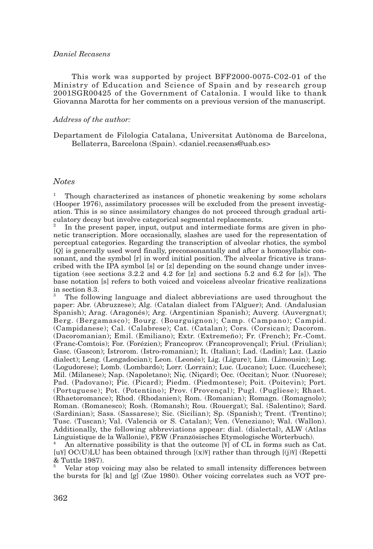#### *Daniel Recasens*

This work was supported by project BFF2000-0075-C02-01 of the Ministry of Education and Science of Spain and by research group 2001SGR00425 of the Government of Catalonia. I would like to thank Giovanna Marotta for her comments on a previous version of the manuscript.

#### *Address of the author:*

Departament de Filologia Catalana, Universitat Autònoma de Barcelona, Bellaterra, Barcelona (Spain). <daniel.recasens@uab.es>

#### *Notes*

<sup>1</sup> Though characterized as instances of phonetic weakening by some scholars (Hooper 1976), assimilatory processes will be excluded from the present investigation. This is so since assimilatory changes do not proceed through gradual articulatory decay but involve categorical segmental replacements.

In the present paper, input, output and intermediate forms are given in phonetic transcription. More occasionally, slashes are used for the representation of perceptual categories. Regarding the transcription of alveolar rhotics, the symbol [Q] is generally used word finally, preconsonantally and after a homosyllabic consonant, and the symbol [r] in word initial position. The alveolar fricative is transcribed with the IPA symbol [s] or [z] depending on the sound change under investigation (see sections 3.2.2 and 4.2 for  $[z]$  and sections 5.2 and 6.2 for  $[s]$ ). The base notation [s] refers to both voiced and voiceless alveolar fricative realizations in section 8.3.

<sup>3</sup> The following language and dialect abbreviations are used throughout the paper: Abr. (Abruzzese); Alg. (Catalan dialect from l'Alguer); And. (Andalusian Spanish); Arag. (Aragonés); Arg. (Argentinian Spanish); Auverg. (Auvergnat); Berg. (Bergamasco); Bourg. (Bourguignon); Camp. (Campano); Campid. (Campidanese); Cal. (Calabrese); Cat. (Catalan); Cors. (Corsican); Dacorom. (Dacoromanian); Emil. (Emiliano); Extr. (Extremeño); Fr. (French); Fr.-Comt. (Franc-Comtois); For. (Forézien); Francoprov. (Francoprovençal); Friul. (Friulian); Gasc. (Gascon); Istrorom. (Istro-romanian); It. (Italian); Lad. (Ladin); Laz. (Lazio dialect); Leng. (Lengadocian); Leon. (Leonés); Lig. (Ligure); Lim. (Limousin); Log. (Logudorese); Lomb. (Lombardo); Lorr. (Lorrain); Luc. (Lucano); Lucc. (Lucchese); Mil. (Milanese); Nap. (Napoletano); Niç. (Niçard); Occ. (Occitan); Nuor. (Nuorese); Pad. (Padovano); Pic. (Picard); Piedm. (Piedmontese); Poit. (Poitevin); Port. (Portuguese); Pot. (Potentino); Prov. (Provençal); Pugl. (Pugliese); Rhaet. (Rhaetoromance); Rhod. (Rhodanien); Rom. (Romanian); Romagn. (Romagnolo); Roman. (Romanesco); Rosh. (Romansh); Rou. (Rouergat); Sal. (Salentino); Sard. (Sardinian); Sass. (Sassarese); Sic. (Sicilian); Sp. (Spanish); Trent. (Trentino); Tusc. (Tuscan); Val. (Valencià or S. Catalan); Ven. (Veneziano); Wal. (Wallon). Additionally, the following abbreviations appear: dial. (dialectal), ALW (Atlas Linguistique de la Wallonie), FEW (Französisches Etymologische Wörterbuch).

An alternative possibility is that the outcome  $[\mathcal{Y}]$  of CL in forms such as Cat. [u¥]  $OC(U)LU$  has been obtained through  $[(x)Y]$  rather than through  $[(j)Y]$  (Repetti & Tuttle 1987).

<sup>5</sup> Velar stop voicing may also be related to small intensity differences between the bursts for [k] and [g] (Zue 1980). Other voicing correlates such as VOT pre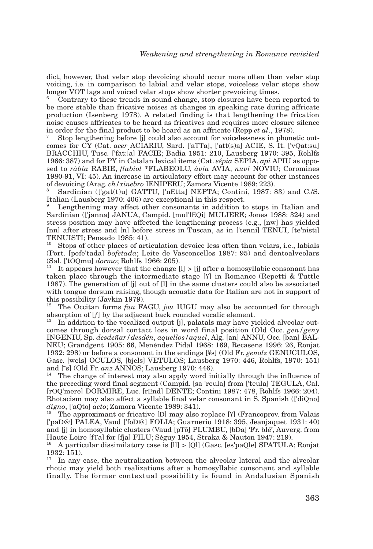dict, however, that velar stop devoicing should occur more often than velar stop voicing, i.e. in comparison to labial and velar stops, voiceless velar stops show longer VOT lags and voiced velar stops show shorter prevoicing times.

<sup>6</sup> Contrary to these trends in sound change, stop closures have been reported to be more stable than fricative noises at changes in speaking rate during affricate production (Isenberg 1978). A related finding is that lengthening the frication noise causes affricates to be heard as fricatives and requires more closure silence<br>in order for the final product to be heard as an affricate (Repp *et al.*, 1978).

Stop lengthening before [j] could also account for voicelessness in phonetic outcomes for CY (Cat. *acer* ACIARIU, Sard. ['aTTa], ['att(s)a] ACIE, S. It. ['vQat:su] BRACCHIU, Tusc. ['fat:∫a] FACIE; Badia 1951: 210, Lausberg 1970: 395, Rohlfs 1966: 387) and for PY in Catalan lexical items (Cat. *sépia* SEPIA, *api* APIU as opposed to *ràbia* RABIE, *flabiol* \*FLABEOLU, *àvia* AVIA, *nuvi* NOVIU; Coromines 1980-91, VI: 45). An increase in articulatory effort may account for other instances of devoicing (Arag. ch/xinebro IENIPERU; Zamora Vicente 1989: 223).

Sardinian (['gat(t)u] GATTU, ['nEtta] NEPTA; Contini, 1987: 83) and C./S. Italian (Lausberg 1970: 406) are exceptional in this respect.

<sup>9</sup> Lengthening may affect other consonants in addition to stops in Italian and Sardinian (['janna] JANUA, Campid. [mul'lEQi] MULIERE; Jones 1988: 324) and stress position may have affected the lengthening process (e.g., [nw] has yielded [nn] after stress and [n] before stress in Tuscan, as in ['tenni] TENUI, [te'nisti] TENUISTI; Pensado 1985: 41).

Stops of other places of articulation devoice less often than velars, i.e., labials (Port. [pofe'tada] *bofetada*; Leite de Vasconcellos 1987: 95) and dentoalveolars (Sal. ['tOOmu] *dormo*; Rohlfs 1966: 205).

<sup>11</sup> It appears however that the change  $|l| > |j|$  after a homosyllabic consonant has taken place through the intermediate stage [¥] in Romance (Repetti & Tuttle 1987). The generation of [j] out of [l] in the same clusters could also be associated with tongue dorsum raising, though acoustic data for Italian are not in support of

this possibility (Javkin 1979).<br><sup>12</sup> The Occitan forms *fau* FAGU, *jou* IUGU may also be accounted for through absorption of  $[f]$  by the adjacent back rounded vocalic element.<br><sup>13</sup> In addition to the vocalized output  $[j]$ , palatals may have yielded alveolar out-

comes through dorsal contact loss in word final position (Old Occ. *gen/geny* INGENIU, Sp. *desdeñar/desdén*, *aquellos/aquel*, Alg. [an] ANNU, Occ. [ban] BAL-NEU; Grandgent 1905: 66, Menéndez Pidal 1968: 169, Recasens 1996: 26, Ronjat 1932: 298) or before a consonant in the endings [¥s] (Old Fr. *genolz* GENUCULOS, Gasc. [wels] OCULOS, [bjels] VETULOS; Lausberg 1970: 446, Rohlfs, 1970: 151) and [<sup>-</sup>s] (Old Fr. *anz* ANNOS; Lausberg 1970: 446).

<sup>14</sup> The change of interest may also apply word initially through the influence of the preceding word final segment (Campid. [sa 'reula] from ['teula] TEGULA, Cal. [rOQ'mere] DORMIRE, Luc. [rEnd] DENTE; Contini 1987: 478, Rohlfs 1966: 204). Rhotacism may also affect a syllable final velar consonant in S. Spanish (['diQno] *digno*, ['aQto] *acto*; Zamora Vicente 1989: 341).

The approximant or fricative [D] may also replace [\integration Valais] ['paD@] PALEA, Vaud ['foD@] FOLIA; Guarnerio 1918: 395, Jeanjaquet 1931: 40) and [j] in homosyllabic clusters (Vaud [pTõ] PLUMBU, [bDa] 'Fr. blé', Auverg. from

 $^{16}$  A particular dissimilatory case is [ll]  $>$  [Ql] (Gasc. [es'paQle] SPATULA; Ronjat 1932: 151).

 $17$  In any case, the neutralization between the alveolar lateral and the alveolar rhotic may yield both realizations after a homosyllabic consonant and syllable finally. The former contextual possibility is found in Andalusian Spanish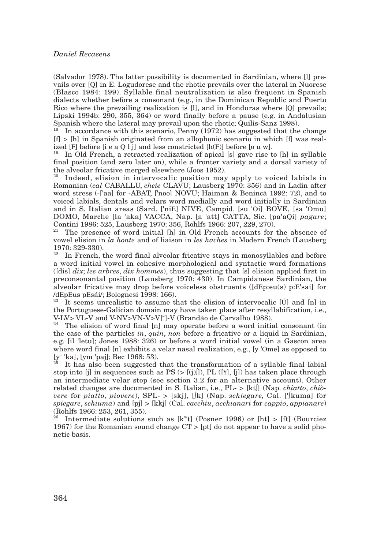(Salvador 1978). The latter possibility is documented in Sardinian, where [l] prevails over [Q] in E. Logudorese and the rhotic prevails over the lateral in Nuorese (Blasco 1984: 199). Syllable final neutralization is also frequent in Spanish dialects whether before a consonant (e.g., in the Dominican Republic and Puerto Rico where the prevailing realization is [l], and in Honduras where [Q] prevails; Lipski 1994b: 290, 355, 364) or word finally before a pause (e.g. in Andalusian Spanish where the lateral may prevail upon the rhotic; Quilis-Sanz 1998).

<sup>18</sup> In accordance with this scenario, Penny (1972) has suggested that the change [f] > [h] in Spanish originated from an allophonic scenario in which [f] was real-<br>ized [F] before [i e a Q l j] and less constricted [h(F)] before [o u w].

<sup>19</sup> In Old French, a retracted realization of apical [s] gave rise to [h] in syllable final position (and zero later on), while a fronter variety and a dorsal variety of the alveolar fricative merged elsewhere (Joos 1952).

Indeed, elision in intervocalic position may apply to voiced labials in Romanian (*cal* CABALLU, *cheie* CLAVU; Lausberg 1970: 356) and in Ladin after word stress (-['aa] for -ABAT, ['noo] NOVU; Haiman & Benincà 1992: 72), and to voiced labials, dentals and velars word medially and word initially in Sardinian and in S. Italian areas (Sard. ['niE] NIVE, Campid. [su 'Oi] BOVE, [sa 'Omu] DOMO, Marche [la 'aka] VACCA, Nap. [a 'att] CATTA, Sic. [pa'aQi] *pagare*; Contini 1986: 525, Lausberg 1970: 356, Rohlfs 1966: 207, 229, 270).

<sup>21</sup> The presence of word initial [h] in Old French accounts for the absence of vowel elision in *la honte* and of liaison in *les haches* in Modern French (Lausberg 1970: 329-330).

 $22$  In French, the word final alveolar fricative stays in monosyllables and before a word initial vowel in cohesive morphological and syntactic word formations ([dis] *dix*; *les arbres*, *dix hommes*), thus suggesting that [s] elision applied first in preconsonantal position (Lausberg 1970: 430). In Campidanese Sardinian, the alveolar fricative may drop before voiceless obstruents ([dEp:eu(s) p:E'sai] for

 $23$  It seems unrealistic to assume that the elision of intervocalic [Ú] and [n] in the Portuguese-Galician domain may have taken place after resyllabification, i.e., V-LV> VL-V and V-NV>VN-V>V[ $\degree$ ]-V (Brandão de Carvalho 1988).<br><sup>24</sup> The elision of word final [n] may operate before a word initial consonant (in

the case of the particles *in*, *quin*, *non* before a fricative or a liquid in Sardinian, e.g. [il 'letu]; Jones 1988: 326) or before a word initial vowel (in a Gascon area where word final [n] exhibits a velar nasal realization, e.g., [y 'Ome] as opposed to [y' 'ka], [ym 'paj]; Bec 1968: 53).

It has also been suggested that the transformation of a syllable final labial stop into [j] in sequences such as  $PS \rightarrow [j]$ ], PL ([\iefter [\iefter [\iefter [\iefter]]) has taken place through an intermediate velar stop (see section 3.2 for an alternative account). Other related changes are documented in S. Italian, i.e., PL- > [kt∫] (Nap. *chiatto*, *chiòvere* for *piatto*, *piovere*), SPL- > [skj], [∫k] (Nap. *schiegare,* Cal. ['∫kuma] for *spiegare*, *schiuma*) and [pj] > [kkj] (Cal. *cacchiu*, *acchianari* for *cappio*, *appianare*) (Rohlfs 1966: 253, 261, 355).

Intermediate solutions such as  $[k<sup>w</sup>t]$  (Posner 1996) or [ht] > [ft] (Bourciez 1967) for the Romanian sound change CT > [pt] do not appear to have a solid phonetic basis.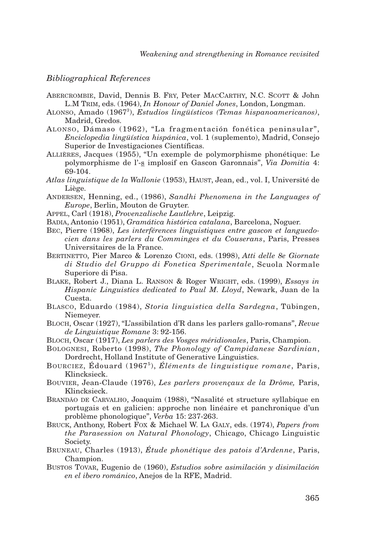#### *Bibliographical References*

- ABERCROMBIE, David, Dennis B. FRY, Peter MACCARTHY, N.C. SCOTT & John L.M TRIM, eds. (1964), *In Honour of Daniel Jones*, London, Longman.
- ALONSO, Amado (19673 ), *Estudios lingüísticos (Temas hispanoamericanos)*, Madrid, Gredos.
- ALONSO, Dámaso (1962), "La fragmentación fonética peninsular", *Enciclopedia lingüística hispánica*, vol. 1 (suplemento), Madrid, Consejo Superior de Investigaciones Científicas.
- ALLIÈRES, Jacques (1955), "Un exemple de polymorphisme phonétique: Le polymorphisme de l'-s implosif en Gascon Garonnais", *Via Domitia* 4: 69-104.
- *Atlas linguistique de la Wallonie* (1953), HAUST, Jean, ed., vol. I, Université de Liège.
- ANDERSEN, Henning, ed., (1986), *Sandhi Phenomena in the Languages of Europe*, Berlin, Mouton de Gruyter.
- APPEL, Carl (1918), *Provenzalische Lautlehre*, Leipzig.
- BADIA, Antonio (1951), *Gramática histórica catalana*, Barcelona, Noguer.
- BEC, Pierre (1968), *Les interférences linguistiques entre gascon et languedocien dans les parlers du Comminges et du Couserans*, Paris, Presses Universitaires de la France.
- BERTINETTO, Pier Marco & Lorenzo CIONI, eds. (1998), *Atti delle 8e Giornate di Studio del Gruppo di Fonetica Sperimentale*, Scuola Normale Superiore di Pisa.
- BLAKE, Robert J., Diana L. RANSON & Roger WRIGHT, eds. (1999), *Essays in Hispanic Linguistics dedicated to Paul M. Lloyd*, Newark, Juan de la Cuesta.
- BLASCO, Eduardo (1984), *Storia linguistica della Sardegna*, Tübingen, Niemeyer.
- BLOCH, Oscar (1927), "L'assibilation d'R dans les parlers gallo-romans", *Revue de Linguistique Romane* 3: 92-156.
- BLOCH, Oscar (1917), *Les parlers des Vosges méridionales*, Paris, Champion.
- BOLOGNESI, Roberto (1998), *The Phonology of Campidanese Sardinian*, Dordrecht, Holland Institute of Generative Linguistics.
- BOURCIEZ, Édouard (19675 ), *Éléments de linguistique romane*, Paris, Klincksieck.
- BOUVIER, Jean-Claude (1976), *Les parlers provençaux de la Drôme,* Paris, Klincksieck.
- BRANDÃO DE CARVALHO, Joaquim (1988), "Nasalité et structure syllabique en portugais et en galicien: approche non linéaire et panchronique d'un problème phonologique", *Verba* 15: 237-263.
- BRUCK, Anthony, Robert FOX & Michael W. LA GALY, eds. (1974), *Papers from the Parasession on Natural Phonology*, Chicago, Chicago Linguistic Society.
- BRUNEAU, Charles (1913), *Étude phonétique des patois d'Ardenne*, Paris, Champion.
- BUSTOS TOVAR, Eugenio de (1960), *Estudios sobre asimilación y disimilación en el ibero románico*, Anejos de la RFE, Madrid.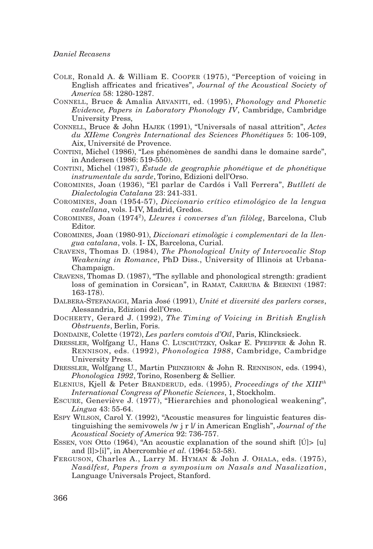- COLE, Ronald A. & William E. COOPER (1975), "Perception of voicing in English affricates and fricatives", *Journal of the Acoustical Society of America* 58: 1280-1287.
- CONNELL, Bruce & Amalia ARVANITI, ed. (1995), *Phonology and Phonetic Evidence, Papers in Laboratory Phonology IV*, Cambridge, Cambridge University Press,
- CONNELL, Bruce & John HAJEK (1991), "Universals of nasal attrition", *Actes du XIIème Congrès International des Sciences Phonétiques* 5: 106-109, Aix, Université de Provence.
- CONTINI, Michel (1986), "Les phénomènes de sandhi dans le domaine sarde", in Andersen (1986: 519-550).
- CONTINI, Michel (1987), *Éstude de geographie phonétique et de phonétique instrumentale du sarde*, Torino, Edizioni dell'Orso.
- COROMINES, Joan (1936), "El parlar de Cardós i Vall Ferrera", *Butlletí de Dialectologia Catalana* 23: 241-331.
- COROMINES, Joan (1954-57), *Diccionario crítico etimológico de la lengua castellana*, vols. I-IV, Madrid, Gredos.
- COROMINES, Joan (1974<sup>2</sup>), *Lleures i converses d'un filòleg*, Barcelona, Club Editor.
- COROMINES, Joan (1980-91), *Diccionari etimològic i complementari de la llengua catalana*, vols. I- IX, Barcelona, Curial.
- CRAVENS, Thomas D. (1984), *The Phonological Unity of Intervocalic Stop Weakening in Romance*, PhD Diss., University of Illinois at Urbana-Champaign.
- CRAVENS, Thomas D. (1987), "The syllable and phonological strength: gradient loss of gemination in Corsican", in RAMAT, CARRUBA & BERNINI (1987: 163-178).
- DALBERA-STEFANAGGI, Maria José (1991), *Unité et diversité des parlers corses*, Alessandria, Edizioni dell'Orso.
- DOCHERTY, Gerard J. (1992), *The Timing of Voicing in British English Obstruents*, Berlin, Foris.
- DONDAINE, Colette (1972), *Les parlers comtois d'Oïl*, Paris, Klincksieck.
- DRESSLER, Wolfgang U., Hans C. LUSCHÜTZKY, Oskar E. PFEIFFER & John R. RENNISON, eds. (1992), *Phonologica 1988*, Cambridge, Cambridge University Press.
- DRESSLER, Wolfgang U., Martin PRINZHORN & John R. RENNISON, eds. (1994), *Phonologica 1992*, Torino, Rosenberg & Sellier.
- ELENIUS, Kjell & Peter BRANDERUD, eds. (1995), *Proceedings of the XIIIth International Congress of Phonetic Sciences*, 1, Stockholm.
- ESCURE, Geneviève J. (1977), "Hierarchies and phonological weakening", *Lingua* 43: 55-64.
- ESPY WILSON, Carol Y. (1992), "Acoustic measures for linguistic features distinguishing the semivowels /w j r l/ in American English", *Journal of the Acoustical Society of America* 92: 736-757.
- ESSEN, VON Otto (1964), "An acoustic explanation of the sound shift [Ú]> [u] and [l]>[i]", in Abercrombie *et al.* (1964: 53-58).
- FERGUSON, Charles A., Larry M. HYMAN & John J. OHALA, eds. (1975), *Nasálfest, Papers from a symposium on Nasals and Nasalization*, Language Universals Project, Stanford.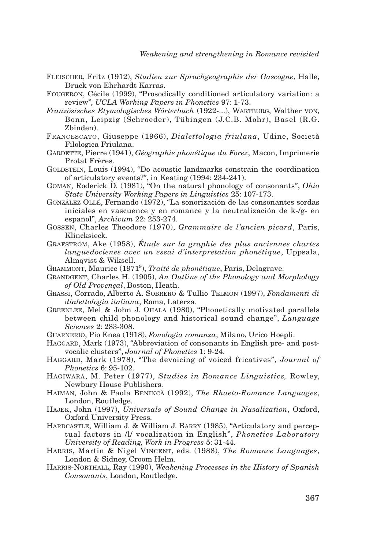- FLEISCHER, Fritz (1912), *Studien zur Sprachgeographie der Gascogne*, Halle, Druck von Ehrhardt Karras.
- FOUGERON, Cécile (1999), "Prosodically conditioned articulatory variation: a review"*, UCLA Working Papers in Phonetics* 97: 1-73.
- *Französisches Etymologisches Wörterbuch* (1922-...), WARTBURG, Walther VON, Bonn, Leipzig (Schroeder), Tübingen (J.C.B. Mohr), Basel (R.G. Zbinden).
- FRANCESCATO, Giuseppe (1966), *Dialettologia friulana*, Udine, Società Filologica Friulana.
- GARDETTE, Pierre (1941), *Géographie phonétique du Forez*, Macon, Imprimerie Protat Frères.
- GOLDSTEIN, Louis (1994), "Do acoustic landmarks constrain the coordination of articulatory events?", in Keating (1994: 234-241).
- GOMAN, Roderick D. (1981), "On the natural phonology of consonants", *Ohio State University Working Papers in Linguistics* 25: 107-173.
- GONZÁLEZ OLLÉ, Fernando (1972), "La sonorización de las consonantes sordas iniciales en vascuence y en romance y la neutralización de k-/g- en español", *Archivum* 22: 253-274.
- GOSSEN, Charles Theodore (1970), *Grammaire de l'ancien picard*, Paris, Klincksieck.
- GRAFSTRÖM, Ake (1958), *Étude sur la graphie des plus anciennes chartes languedocienes avec un essai d'interpretation phonétique*, Uppsala, Almqvist & Wiksell.
- GRAMMONT, Maurice (19719 ), *Traité de phonétique*, Paris, Delagrave.
- GRANDGENT, Charles H. (1905), *An Outline of the Phonology and Morphology of Old Provençal*, Boston, Heath.
- GRASSI, Corrado, Alberto A. SOBRERO & Tullio TELMON (1997), *Fondamenti di dialettologia italiana*, Roma, Laterza.
- GREENLEE, Mel & John J. OHALA (1980), "Phonetically motivated parallels between child phonology and historical sound change", *Language Sciences* 2: 283-308.
- GUARNERIO, Pio Enea (1918), *Fonologia romanza*, Milano, Urico Hoepli.
- HAGGARD, Mark (1973), "Abbreviation of consonants in English pre- and postvocalic clusters", *Journal of Phonetics* 1: 9-24.
- HAGGARD, Mark (1978), "The devoicing of voiced fricatives", *Journal of Phonetics* 6: 95-102.
- HAGIWARA, M. Peter (1977), *Studies in Romance Linguistics,* Rowley, Newbury House Publishers.
- HAIMAN, John & Paola BENINCÀ (1992), *The Rhaeto-Romance Languages*, London, Routledge.
- HAJEK, John (1997), *Universals of Sound Change in Nasalization*, Oxford, Oxford University Press.
- HARDCASTLE, William J. & William J. BARRY (1985), "Articulatory and perceptual factors in /l/ vocalization in English", *Phonetics Laboratory University of Reading, Work in Progress* 5: 31-44.
- HARRIS, Martin & Nigel VINCENT, eds. (1988), *The Romance Languages*, London & Sidney, Croom Helm.
- HARRIS-NORTHALL, Ray (1990), *Weakening Processes in the History of Spanish Consonants*, London, Routledge.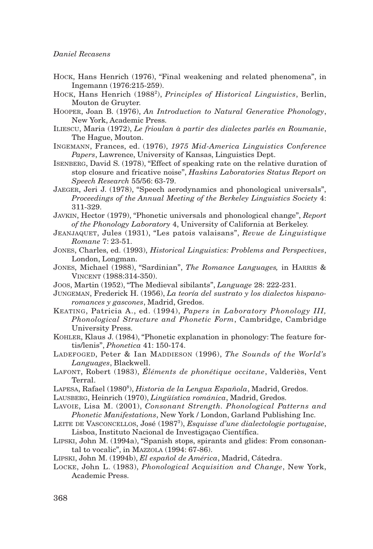#### *Daniel Recasens*

- HOCK, Hans Henrich (1976), "Final weakening and related phenomena", in Ingemann (1976:215-259).
- HOCK, Hans Henrich (1988<sup>2</sup>), *Principles of Historical Linguistics*, Berlin, Mouton de Gruyter.
- HOOPER, Joan B. (1976), *An Introduction to Natural Generative Phonology*, New York, Academic Press.
- ILIESCU, Maria (1972), *Le frioulan à partir des dialectes parlés en Roumanie*, The Hague, Mouton.
- INGEMANN, Frances, ed. (1976), *1975 Mid-America Linguistics Conference Papers*, Lawrence, University of Kansas, Linguistics Dept.
- ISENBERG, David S. (1978), "Effect of speaking rate on the relative duration of stop closure and fricative noise", *Haskins Laboratories Status Report on Speech Research* 55/56: 63-79.
- JAEGER, Jeri J. (1978), "Speech aerodynamics and phonological universals", *Proceedings of the Annual Meeting of the Berkeley Linguistics Society* 4: 311-329.
- JAVKIN, Hector (1979), "Phonetic universals and phonological change", *Report of the Phonology Laboratory* 4, University of California at Berkeley.
- JEANJAQUET, Jules (1931), "Les patois valaisans", *Revue de Linguistique Romane* 7: 23-51.
- JONES, Charles, ed. (1993), *Historical Linguistics: Problems and Perspectives*, London, Longman.
- JONES, Michael (1988), "Sardinian", *The Romance Languages,* in HARRIS & VINCENT (1988:314-350).
- JOOS, Martin (1952), "The Medieval sibilants", *Language* 28: 222-231.
- JUNGEMAN, Frederick H. (1956), *La teoría del sustrato y los dialectos hispanoromances y gascones*, Madrid, Gredos.
- KEATING, Patricia A., ed. (1994), *Papers in Laboratory Phonology III, Phonological Structure and Phonetic Form*, Cambridge, Cambridge University Press.
- KOHLER, Klaus J. (1984), "Phonetic explanation in phonology: The feature fortis/lenis", *Phonetica* 41: 150-174.
- LADEFOGED, Peter & Ian MADDIESON (1996), *The Sounds of the World's Languages*, Blackwell.
- LAFONT, Robert (1983), *Éléments de phonétique occitane*, Valderiès, Vent Terral.
- Lapesa, Rafael (1980<sup>8</sup>), *Historia de la Lengua Española*, Madrid, Gredos.
- LAUSBERG, Heinrich (1970), *Lingüística románica*, Madrid, Gredos.
- LAVOIE, Lisa M. (2001), *Consonant Strength. Phonological Patterns and Phonetic Manifestations*, New York / London, Garland Publishing Inc.
- LEITE DE VASCONCELLOS, José (1987<sup>3</sup>), *Esquisse d'une dialectologie portugaise*, Lisboa, Instituto Nacional de Investigaçao Científica.
- LIPSKI, John M. (1994a), "Spanish stops, spirants and glides: From consonantal to vocalic", in MAZZOLA (1994: 67-86).
- LIPSKI, John M. (1994b), *El español de América*, Madrid, Cátedra.
- LOCKE, John L. (1983), *Phonological Acquisition and Change*, New York, Academic Press.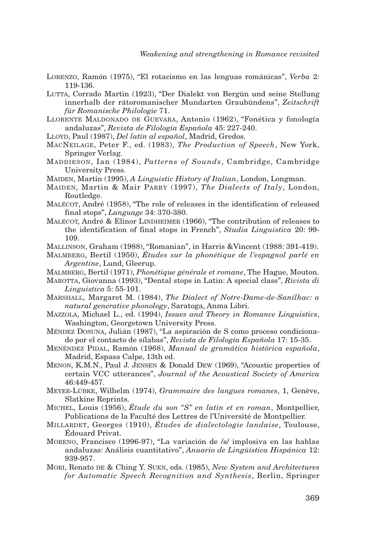- LORENZO, Ramón (1975), "El rotacismo en las lenguas románicas", *Verba* 2: 119-136.
- LUTTA, Corrado Martin (1923), "Der Dialekt von Bergün und seine Stellung innerhalb der rätoromanischer Mundarten Graubündens", *Zeitschrift für Romanische Philologie* 71.
- LLORENTE MALDONADO DE GUEVARA, Antonio (1962), "Fonética y fonología andaluzas", *Revista de Filología Española* 45: 227-240.
- LLOYD, Paul (1987), *Del latín al español*, Madrid, Gredos.
- MACNEILAGE, Peter F., ed. (1983), *The Production of Speech*, New York, Springer Verlag.
- MADDIESON, Ian (1984), *Patterns of Sounds*, Cambridge, Cambridge University Press.
- MAIDEN, Martin (1995), *A Linguistic History of Italian*, London, Longman.
- MAIDEN, Martin & Mair PARRY (1997), *The Dialects of Italy*, London, Routledge.
- MALÉCOT, André (1958), "The role of releases in the identification of released final stops", *Language* 34: 370-380.
- MALÉCOT, André & Elinor LINDHEIMER (1966), "The contribution of releases to the identification of final stops in French", *Studia Linguistica* 20: 99- 109.
- MALLINSON, Graham (1988), "Romanian", in Harris &Vincent (1988: 391-419).
- MALMBERG, Bertil (1950), *Études sur la phonétique de l'espagnol parlé en Argentine*, Lund, Gleerup.
- MALMBERG, Bertil (1971), *Phonétique générale et romane*, The Hague, Mouton.
- MAROTTA, Giovanna (1993), "Dental stops in Latin: A special class", *Rivista di Linguistica* 5: 55-101.
- MARSHALL, Margaret M. (1984), *The Dialect of Notre-Dame-de-Sanilhac: a natural generative phonology*, Saratoga, Anma Libri.
- MAZZOLA, Michael L., ed. (1994), *Issues and Theory in Romance Linguistics*, Washington, Georgetown University Press.
- MÉNDEZ DOSUNA, Julián (1987), "La aspiración de S como proceso condicionado por el contacto de sílabas", *Revista de Filología Española* 17: 15-35.
- MENÉNDEZ PIDAL, Ramón (1968), *Manual de gramática histórica española*, Madrid, Espasa Calpe, 13th ed.
- MENON, K.M.N., Paul J. JENSEN & Donald DEW (1969), "Acoustic properties of certain VCC utterances", *Journal of the Acoustical Society of America* 46:449-457.
- MEYER-LÜBKE, Wilhelm (1974), *Grammaire des langues romanes*, 1, Genève, Slatkine Reprints.
- MICHEL, Louis (1956), *Étude du son "S" en latin et en roman*, Montpellier, Publications de la Faculté des Lettres de l'Université de Montpellier.
- MILLARDET, Georges (1910), *Études de dialectologie landaise*, Toulouse, Édouard Privat.
- MORENO, Francisco (1996-97), "La variación de /s/ implosiva en las hablas andaluzas: Análisis cuantitativo", *Anuario de Lingüística Hispánica* 12: 939-957.
- MORI, Renato DE & Ching Y. SUEN, eds. (1985), *New System and Architectures for Automatic Speech Recognition and Synthesis*, Berlin, Springer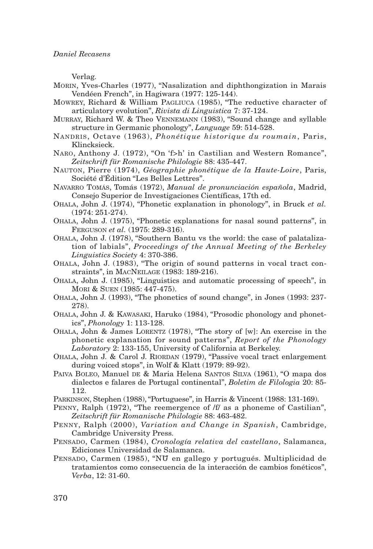Verlag.

- MORIN, Yves-Charles (1977), "Nasalization and diphthongization in Marais Vendéen French", in Hagiwara (1977: 125-144).
- MOWREY, Richard & William PAGLIUCA (1985), "The reductive character of articulatory evolution", *Rivista di Linguistica* 7: 37-124.
- MURRAY, Richard W. & Theo VENNEMANN (1983), "Sound change and syllable structure in Germanic phonology", *Language* 59: 514-528.
- NANDRIS, Octave (1963), *Phonétique historique du roumain*, Paris, Klincksieck.
- NARO, Anthony J. (1972), "On 'f>h' in Castilian and Western Romance", *Zeitschrift für Romanische Philologie* 88: 435-447.
- NAUTON, Pierre (1974), *Géographie phonétique de la Haute-Loire*, Paris, Société d'Édition "Les Belles Lettres".
- NAVARRO TOMÁS, Tomás (1972), *Manual de pronunciación española*, Madrid, Consejo Superior de Investigaciones Científicas, 17th ed.
- OHALA, John J. (1974), "Phonetic explanation in phonology", in Bruck *et al.* (1974: 251-274).
- OHALA, John J. (1975), "Phonetic explanations for nasal sound patterns", in FERGUSON *et al.* (1975: 289-316).
- OHALA, John J. (1978), "Southern Bantu vs the world: the case of palatalization of labials", *Proceedings of the Annual Meeting of the Berkeley Linguistics Society* 4: 370-386.
- OHALA, John J. (1983), "The origin of sound patterns in vocal tract constraints", in MACNEILAGE (1983: 189-216).
- OHALA, John J. (1985), "Linguistics and automatic processing of speech", in MORI & SUEN (1985: 447-475).
- OHALA, John J. (1993), "The phonetics of sound change", in Jones (1993: 237- 278).
- OHALA, John J. & KAWASAKI, Haruko (1984), "Prosodic phonology and phonetics", *Phonology* 1: 113-128.
- OHALA, John & James LORENTZ (1978), "The story of [w]: An exercise in the phonetic explanation for sound patterns", *Report of the Phonology Laboratory* 2: 133-155, University of California at Berkeley.
- OHALA, John J. & Carol J. RIORDAN (1979), "Passive vocal tract enlargement during voiced stops", in Wolf & Klatt (1979: 89-92).
- PAIVA BOLEO, Manuel DE & Maria Helena SANTOS SILVA (1961), "O mapa dos dialectos e falares de Portugal continental", *Boletim de Filologia* 20: 85- 112.
- PARKINSON, Stephen (1988), "Portuguese", in Harris & Vincent (1988: 131-169).
- PENNY, Ralph (1972), "The reemergence of /f/ as a phoneme of Castilian", *Zeitschrift für Romanische Philologie* 88: 463-482.
- PENNY, Ralph (2000), *Variation and Change in Spanish*, Cambridge, Cambridge University Press.
- PENSADO, Carmen (1984), *Cronología relativa del castellano*, Salamanca, Ediciones Universidad de Salamanca.
- PENSADO, Carmen (1985), "NU7 en gallego y portugués. Multiplicidad de tratamientos como consecuencia de la interacción de cambios fonéticos", *Verba*, 12: 31-60.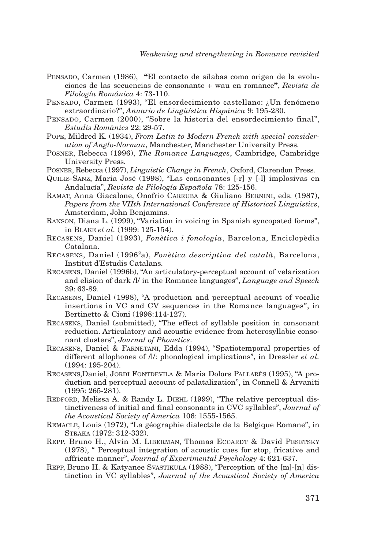- PENSADO, Carmen (1986), **"**El contacto de sílabas como origen de la evoluciones de las secuencias de consonante + wau en romance**"**, *Revista de Filología Románica* 4: 73-110.
- PENSADO, Carmen (1993), "El ensordecimiento castellano: ¿Un fenómeno extraordinario?", *Anuario de Lingüística Hispánica* 9: 195-230.
- PENSADO, Carmen (2000), "Sobre la historia del ensordecimiento final", *Estudis Romànics* 22: 29-57.
- POPE, Mildred K. (1934), *From Latin to Modern French with special consideration of Anglo-Norman*, Manchester, Manchester University Press.
- POSNER, Rebecca (1996), *The Romance Languages*, Cambridge, Cambridge University Press.
- POSNER, Rebecca (1997), *Linguistic Change in French*, Oxford, Clarendon Press.
- QUILIS-SANZ, Maria José (1998), "Las consonantes [-r] y [-l] implosivas en Andalucía", *Revista de Filología Española* 78: 125-156.
- RAMAT, Anna Giacalone, Onofrio CARRUBA & Giuliano BERNINI, eds. (1987), *Papers from the VIIth International Conference of Historical Linguistics*, Amsterdam, John Benjamins.
- RANSON, Diana L. (1999), "Variation in voicing in Spanish syncopated forms", in BLAKE *et al.* (1999: 125-154).
- RECASENS, Daniel (1993), *Fonètica i fonologia*, Barcelona, Enciclopèdia Catalana.
- RECASENS, Daniel (19962 a), *Fonètica descriptiva del català*, Barcelona, Institut d'Estudis Catalans.
- RECASENS, Daniel (1996b), "An articulatory-perceptual account of velarization and elision of dark /l/ in the Romance languages", *Language and Speech* 39: 63-89.
- RECASENS, Daniel (1998), "A production and perceptual account of vocalic insertions in VC and CV sequences in the Romance languages", in Bertinetto & Cioni (1998:114-127).
- RECASENS, Daniel (submitted), "The effect of syllable position in consonant reduction. Articulatory and acoustic evidence from heterosyllabic consonant clusters", *Journal of Phonetics*.
- RECASENS, Daniel & FARNETANI, Edda (1994), "Spatiotemporal properties of different allophones of  $\Lambda$ : phonological implications", in Dressler *et al.* (1994: 195-204).
- RECASENS,Daniel, JORDI FONTDEVILA & Maria Dolors PALLARÈS (1995), "A production and perceptual account of palatalization", in Connell & Arvaniti (1995: 265-281).
- REDFORD, Melissa A. & Randy L. DIEHL (1999), "The relative perceptual distinctiveness of initial and final consonants in CVC syllables", *Journal of the Acoustical Society of America* 106: 1555-1565.
- REMACLE, Louis (1972), "La géographie dialectale de la Belgique Romane", in STRAKA (1972: 312-332).
- REPP, Bruno H., Alvin M. LIBERMAN, Thomas ECCARDT & David PESETSKY (1978), " Perceptual integration of acoustic cues for stop, fricative and affricate manner", *Journal of Experimental Psychology* 4: 621-637.
- REPP, Bruno H. & Katyanee SVASTIKULA (1988), "Perception of the [m]-[n] distinction in VC syllables", *Journal of the Acoustical Society of America*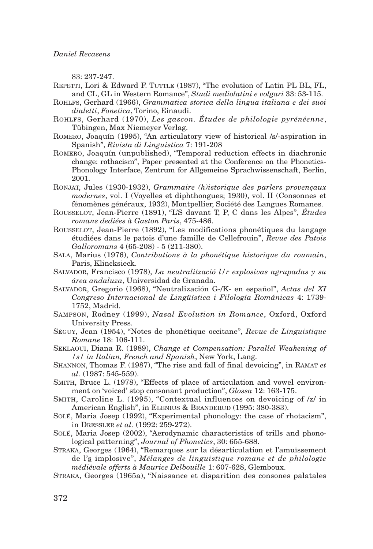83: 237-247.

- REPETTI, Lori & Edward F. TUTTLE (1987), "The evolution of Latin PL BL, FL, and CL, GL in Western Romance", *Studi mediolatini e volgari* 33: 53-115.
- ROHLFS, Gerhard (1966), *Grammatica storica della lingua italiana e dei suoi dialetti*, *Fonetica*, Torino, Einaudi.
- ROHLFS, Gerhard (1970), *Les gascon. Études de philologie pyrénéenne*, Tübingen, Max Niemeyer Verlag.
- ROMERO, Joaquín (1995), "An articulatory view of historical /s/-aspiration in Spanish", *Rivista di Linguistica* 7: 191-208
- ROMERO, Joaquín (unpublished), "Temporal reduction effects in diachronic change: rothacism", Paper presented at the Conference on the Phonetics-Phonology Interface, Zentrum for Allgemeine Sprachwissenschaft, Berlin, 2001.
- RONJAT, Jules (1930-1932), *Grammaire (h)istorique des parlers provençaux modernes*, vol. I (Voyelles et diphthongues; 1930), vol. II (Consonnes et fénomènes généraux, 1932), Montpellier, Société des Langues Romanes.
- ROUSSELOT, Jean-Pierre (1891), "L'S davant T, P, C dans les Alpes", *Études romans dediées à Gaston Paris*, 475-486.
- ROUSSELOT, Jean-Pierre (1892), "Les modifications phonétiques du langage étudiées dans le patois d'une famille de Cellefrouin", *Revue des Patois Galloromans* 4 (65-208) - 5 (211-380).
- SALA, Marius (1976), *Contributions à la phonétique historique du roumain*, Paris, Klincksieck.
- SALVADOR, Francisco (1978), *La neutralització l/r explosivas agrupadas y su área andaluza*, Universidad de Granada.
- SALVADOR, Gregorio (1968), "Neutralización G-/K- en español", *Actas del XI Congreso Internacional de Lingüística i Filología Románicas* 4: 1739- 1752, Madrid.
- SAMPSON, Rodney (1999), *Nasal Evolution in Romance*, Oxford, Oxford University Press.
- SÉGUY, Jean (1954), "Notes de phonétique occitane", *Revue de Linguistique Romane* 18: 106-111.
- SEKLAOUI, Diana R. (1989), *Change et Compensation: Parallel Weakening of /s/ in Italian, French and Spanish*, New York, Lang.
- SHANNON, Thomas F. (1987), "The rise and fall of final devoicing", in RAMAT *et al.* (1987: 545-559).
- SMITH, Bruce L. (1978), "Effects of place of articulation and vowel environment on 'voiced' stop consonant production", *Glossa* 12: 163-175.
- SMITH, Caroline L. (1995), "Contextual influences on devoicing of /z/ in American English", in ELENIUS & BRANDERUD (1995: 380-383).
- SOLÉ, Maria Josep (1992), "Experimental phonology: the case of rhotacism", in DRESSLER *et al.* (1992: 259-272).
- SOLÉ, Maria Josep (2002), "Aerodynamic characteristics of trills and phonological patterning", *Journal of Phonetics*, 30: 655-688.
- STRAKA, Georges (1964), "Remarques sur la désarticulation et l'amuïssement de l's implosive", *Mélanges de linguistique romane et de philologie médiévale offerts à Maurice Delbouille* 1: 607-628, Glemboux.
- STRAKA, Georges (1965a), "Naissance et disparition des consones palatales